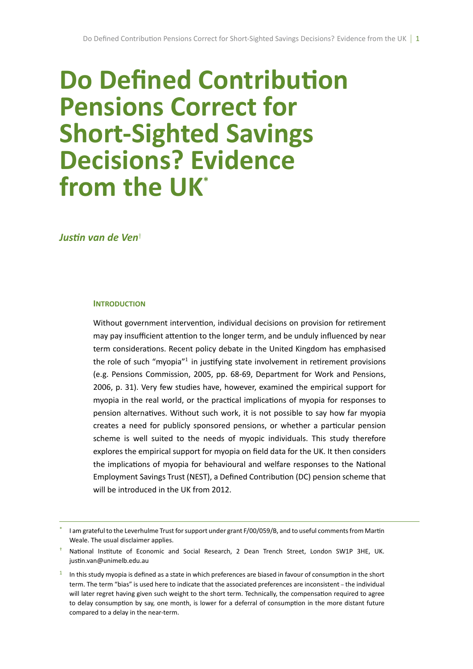# **Do Defined Contribution Pensions Correct for Short-Sighted Savings Decisions? Evidence from the UK\***

*JusƟn van de Ven†*

### **INTRODUCTION**

Without government intervention, individual decisions on provision for retirement may pay insufficient attention to the longer term, and be unduly influenced by near term considerations. Recent policy debate in the United Kingdom has emphasised the role of such "myopia"<sup>1</sup> in justifying state involvement in retirement provisions (e.g. Pensions Commission, 2005, pp. 68-69, Department for Work and Pensions, 2006, p. 31). Very few studies have, however, examined the empirical support for myopia in the real world, or the practical implications of myopia for responses to pension alternatives. Without such work, it is not possible to say how far myopia creates a need for publicly sponsored pensions, or whether a particular pension scheme is well suited to the needs of myopic individuals. This study therefore explores the empirical support for myopia on field data for the UK. It then considers the implications of myopia for behavioural and welfare responses to the National Employment Savings Trust (NEST), a Defined Contribution (DC) pension scheme that will be introduced in the UK from 2012.

<sup>\*</sup> I am grateful to the Leverhulme Trust for support under grant F/00/059/B, and to useful comments from Martin Weale. The usual disclaimer applies.

National Institute of Economic and Social Research, 2 Dean Trench Street, London SW1P 3HE, UK. justin.van@unimelb.edu.au

 $1$  In this study myopia is defined as a state in which preferences are biased in favour of consumption in the short term. The term "bias" is used here to indicate that the associated preferences are inconsistent – the individual will later regret having given such weight to the short term. Technically, the compensation required to agree to delay consumption by say, one month, is lower for a deferral of consumption in the more distant future compared to a delay in the near-term.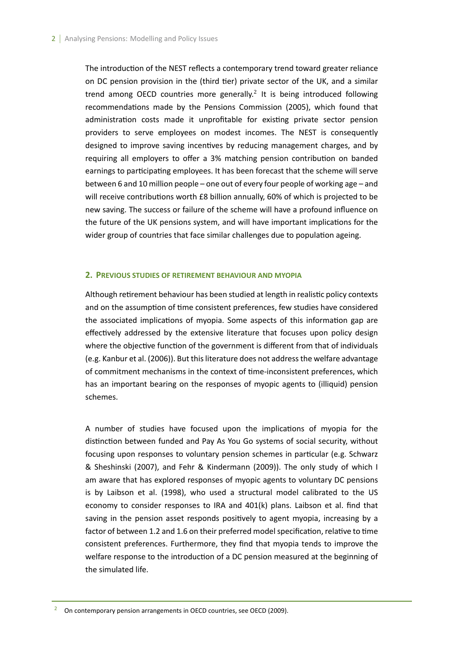The introduction of the NEST reflects a contemporary trend toward greater reliance on DC pension provision in the (third tier) private sector of the UK, and a similar trend among OECD countries more generally.<sup>2</sup> It is being introduced following recommendations made by the Pensions Commission (2005), which found that administration costs made it unprofitable for existing private sector pension providers to serve employees on modest incomes. The NEST is consequently designed to improve saving incentives by reducing management charges, and by requiring all employers to offer a 3% matching pension contribution on banded earnings to participating employees. It has been forecast that the scheme will serve between 6 and 10 million people – one out of every four people of working age – and will receive contributions worth £8 billion annually, 60% of which is projected to be new saving. The success or failure of the scheme will have a profound influence on the future of the UK pensions system, and will have important implications for the wider group of countries that face similar challenges due to population ageing.

### **2. PREVIOUS STUDIES OF RETIREMENT BEHAVIOUR AND MYOPIA**

Although retirement behaviour has been studied at length in realistic policy contexts and on the assumption of time consistent preferences, few studies have considered the associated implications of myopia. Some aspects of this information gap are effectively addressed by the extensive literature that focuses upon policy design where the objective function of the government is different from that of individuals (e.g. Kanbur et al. (2006)). But this literature does not address the welfare advantage of commitment mechanisms in the context of time-inconsistent preferences, which has an important bearing on the responses of myopic agents to (illiquid) pension schemes.

A number of studies have focused upon the implications of myopia for the distinction between funded and Pay As You Go systems of social security, without focusing upon responses to voluntary pension schemes in particular (e.g. Schwarz & Sheshinski (2007), and Fehr & Kindermann (2009)). The only study of which I am aware that has explored responses of myopic agents to voluntary DC pensions is by Laibson et al. (1998), who used a structural model calibrated to the US economy to consider responses to IRA and 401(k) plans. Laibson et al. find that saving in the pension asset responds positively to agent myopia, increasing by a factor of between 1.2 and 1.6 on their preferred model specification, relative to time consistent preferences. Furthermore, they find that myopia tends to improve the welfare response to the introduction of a DC pension measured at the beginning of the simulated life.

<sup>&</sup>lt;sup>2</sup> On contemporary pension arrangements in OECD countries, see OECD (2009).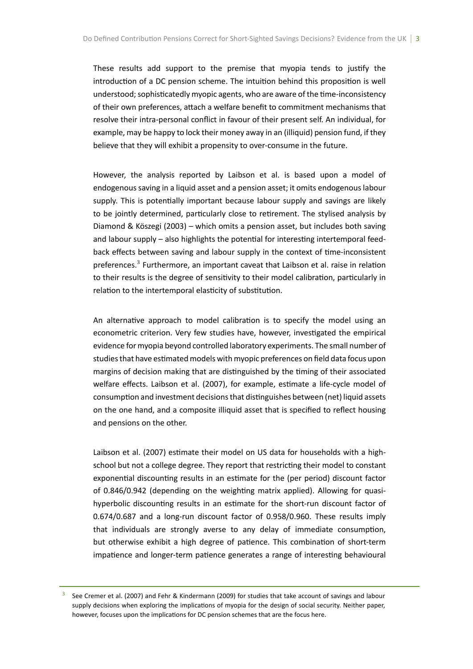These results add support to the premise that myopia tends to justify the introduction of a DC pension scheme. The intuition behind this proposition is well understood; sophisticatedly myopic agents, who are aware of the time-inconsistency of their own preferences, attach a welfare benefit to commitment mechanisms that resolve their intra-personal conflict in favour of their present self. An individual, for example, may be happy to lock their money away in an (illiquid) pension fund, if they believe that they will exhibit a propensity to over-consume in the future.

However, the analysis reported by Laibson et al. is based upon a model of endogenous saving in a liquid asset and a pension asset; it omits endogenous labour supply. This is potentially important because labour supply and savings are likely to be jointly determined, particularly close to retirement. The stylised analysis by Diamond & Köszegi (2003) – which omits a pension asset, but includes both saving and labour supply  $-$  also highlights the potential for interesting intertemporal feedback effects between saving and labour supply in the context of time-inconsistent preferences.<sup>3</sup> Furthermore, an important caveat that Laibson et al. raise in relation to their results is the degree of sensitivity to their model calibration, particularly in relation to the intertemporal elasticity of substitution.

An alternative approach to model calibration is to specify the model using an econometric criterion. Very few studies have, however, investigated the empirical evidence for myopia beyond controlled laboratory experiments. The small number of studies that have estimated models with myopic preferences on field data focus upon margins of decision making that are distinguished by the timing of their associated welfare effects. Laibson et al. (2007), for example, estimate a life-cycle model of consumption and investment decisions that distinguishes between (net) liquid assets on the one hand, and a composite illiquid asset that is specified to reflect housing and pensions on the other.

Laibson et al. (2007) estimate their model on US data for households with a highschool but not a college degree. They report that restricting their model to constant exponential discounting results in an estimate for the (per period) discount factor of 0.846/0.942 (depending on the weighting matrix applied). Allowing for quasihyperbolic discounting results in an estimate for the short-run discount factor of 0.674/0.687 and a long-run discount factor of 0.958/0.960. These results imply that individuals are strongly averse to any delay of immediate consumption, but otherwise exhibit a high degree of patience. This combination of short-term impatience and longer-term patience generates a range of interesting behavioural

 $3$  See Cremer et al. (2007) and Fehr & Kindermann (2009) for studies that take account of savings and labour supply decisions when exploring the implications of myopia for the design of social security. Neither paper, however, focuses upon the implications for DC pension schemes that are the focus here.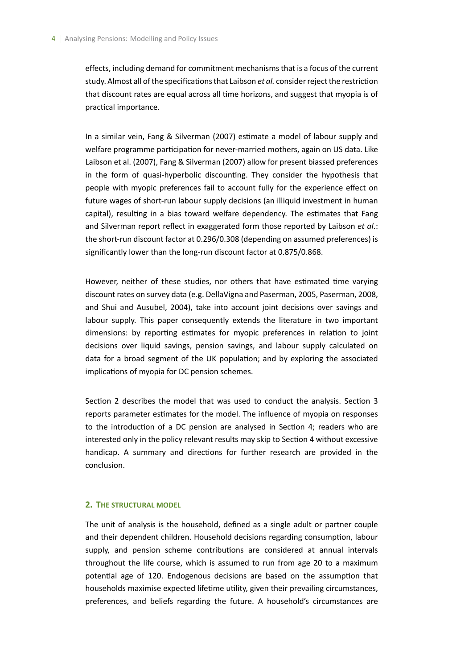effects, including demand for commitment mechanisms that is a focus of the current study. Almost all of the specifications that Laibson *et al.* consider reject the restriction that discount rates are equal across all time horizons, and suggest that myopia is of practical importance.

In a similar vein, Fang & Silverman (2007) estimate a model of labour supply and welfare programme participation for never-married mothers, again on US data. Like Laibson et al. (2007), Fang & Silverman (2007) allow for present biassed preferences in the form of quasi-hyperbolic discounting. They consider the hypothesis that people with myopic preferences fail to account fully for the experience effect on future wages of short-run labour supply decisions (an illiquid investment in human capital), resulting in a bias toward welfare dependency. The estimates that Fang and Silverman report reflect in exaggerated form those reported by Laibson *et al*.: the short-run discount factor at 0.296/0.308 (depending on assumed preferences) is significantly lower than the long-run discount factor at 0.875/0.868.

However, neither of these studies, nor others that have estimated time varying discount rates on survey data (e.g. DellaVigna and Paserman, 2005, Paserman, 2008, and Shui and Ausubel, 2004), take into account joint decisions over savings and labour supply. This paper consequently extends the literature in two important dimensions: by reporting estimates for myopic preferences in relation to joint decisions over liquid savings, pension savings, and labour supply calculated on data for a broad segment of the UK population; and by exploring the associated implications of myopia for DC pension schemes.

Section 2 describes the model that was used to conduct the analysis. Section 3 reports parameter estimates for the model. The influence of myopia on responses to the introduction of a DC pension are analysed in Section 4; readers who are interested only in the policy relevant results may skip to Section 4 without excessive handicap. A summary and directions for further research are provided in the conclusion.

# **2. THE STRUCTURAL MODEL**

The unit of analysis is the household, defined as a single adult or partner couple and their dependent children. Household decisions regarding consumption, labour supply, and pension scheme contributions are considered at annual intervals throughout the life course, which is assumed to run from age 20 to a maximum potential age of 120. Endogenous decisions are based on the assumption that households maximise expected lifetime utility, given their prevailing circumstances, preferences, and beliefs regarding the future. A household's circumstances are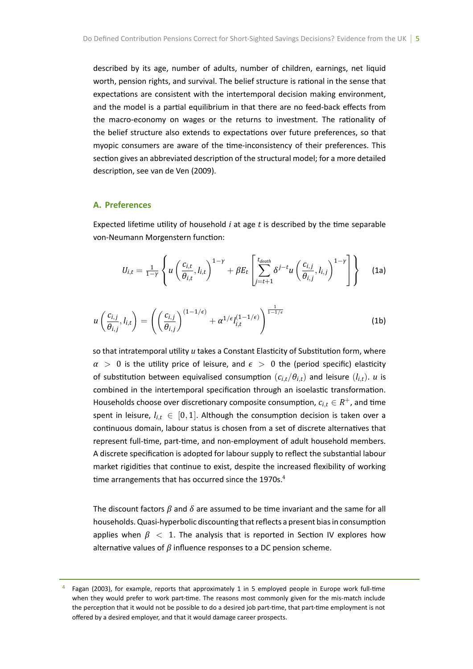described by its age, number of adults, number of children, earnings, net liquid worth, pension rights, and survival. The belief structure is rational in the sense that expectations are consistent with the intertemporal decision making environment, and the model is a partial equilibrium in that there are no feed-back effects from the macro-economy on wages or the returns to investment. The rationality of the belief structure also extends to expectations over future preferences, so that myopic consumers are aware of the time-inconsistency of their preferences. This section gives an abbreviated description of the structural model; for a more detailed description, see van de Ven (2009).

#### **A. Preferences**

Expected lifetime utility of household *i* at age *t* is described by the time separable von-Neumann Morgenstern function:

$$
U_{i,t} = \frac{1}{1-\gamma} \left\{ u \left( \frac{c_{i,t}}{\theta_{i,t}}, l_{i,t} \right)^{1-\gamma} + \beta E_t \left[ \sum_{j=t+1}^{t_{death}} \delta^{j-t} u \left( \frac{c_{i,j}}{\theta_{i,j}}, l_{i,j} \right)^{1-\gamma} \right] \right\}
$$
 (1a)

$$
u\left(\frac{c_{i,j}}{\theta_{i,j}}, l_{i,t}\right) = \left(\left(\frac{c_{i,j}}{\theta_{i,j}}\right)^{(1-1/\epsilon)} + \alpha^{1/\epsilon} l_{i,t}^{(1-1/\epsilon)}\right)^{\frac{1}{1-1/\epsilon}}
$$
(1b)

so that intratemporal utility *u* takes a Constant Elasticity of Substitution form, where  $\alpha$  > 0 is the utility price of leisure, and  $\epsilon$  > 0 the (period specific) elasticity of substitution between equivalised consumption  $(c_{i,t}/\theta_{i,t})$  and leisure  $(l_{i,t})$ . *u* is combined in the intertemporal specification through an isoelastic transformation. Households choose over discretionary composite consumption,  $c_{i,t} \in R^+$ , and time spent in leisure,  $l_{i,t} \in [0,1]$ . Although the consumption decision is taken over a continuous domain, labour status is chosen from a set of discrete alternatives that represent full-time, part-time, and non-employment of adult household members. A discrete specification is adopted for labour supply to reflect the substantial labour market rigidities that continue to exist, despite the increased flexibility of working time arrangements that has occurred since the 1970s. $4$ 

The discount factors *β* and *δ* are assumed to be Ɵme invariant and the same for all households. Quasi-hyperbolic discounting that reflects a present bias in consumption applies when  $\beta$  < 1. The analysis that is reported in Section IV explores how alternative values of  $\beta$  influence responses to a DC pension scheme.

Fagan (2003), for example, reports that approximately 1 in 5 employed people in Europe work full-time when they would prefer to work part-time. The reasons most commonly given for the mis-match include the perception that it would not be possible to do a desired job part-time, that part-time employment is not offered by a desired employer, and that it would damage career prospects.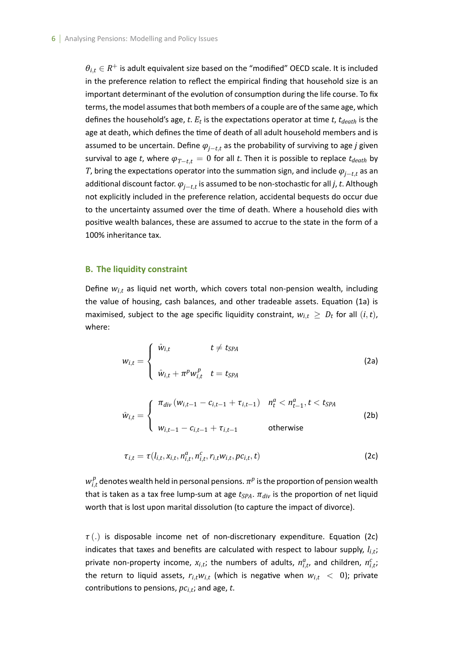$\theta_{i,t} \in R^+$  is adult equivalent size based on the "modified" OECD scale. It is included in the preference relation to reflect the empirical finding that household size is an important determinant of the evolution of consumption during the life course. To fix terms, the model assumes that both members of a couple are of the same age, which defines the household's age, *t.*  $E_t$  is the expectations operator at time *t, t<sub>death</sub>* is the age at death, which defines the time of death of all adult household members and is assumed to be uncertain. Define *<sup>φ</sup>j−t,<sup>t</sup>* as the probability of surviving to age *j* given survival to age *t*, where  $\varphi_{T-t,t} = 0$  for all *t*. Then it is possible to replace  $t_{death}$  by  $T$ , bring the expectations operator into the summation sign, and include  $\varphi_{j-t,t}$  as an addiƟonal discount factor. *<sup>φ</sup>j−t,<sup>t</sup>* is assumed to be non-stochasƟc for all *j*, *t*. Although not explicitly included in the preference relation, accidental bequests do occur due to the uncertainty assumed over the time of death. Where a household dies with positive wealth balances, these are assumed to accrue to the state in the form of a 100% inheritance tax.

#### **B. The liquidity constraint**

Define *wi,<sup>t</sup>* as liquid net worth, which covers total non-pension wealth, including the value of housing, cash balances, and other tradeable assets. Equation (1a) is maximised, subject to the age specific liquidity constraint,  $w_{i,t} \geq D_t$  for all  $(i, t)$ , where:

$$
w_{i,t} = \begin{cases} \hat{w}_{i,t} & t \neq t_{SPA} \\ \hat{w}_{i,t} + \pi^p w_{i,t}^p & t = t_{SPA} \end{cases}
$$
 (2a)

$$
\hat{w}_{i,t} = \begin{cases}\n\pi_{div} (w_{i,t-1} - c_{i,t-1} + \tau_{i,t-1}) & n_t^a < n_{t-1}^a, t < t_{SPA} \\
w_{i,t-1} - c_{i,t-1} + \tau_{i,t-1} & \text{otherwise}\n\end{cases} \tag{2b}
$$

$$
\tau_{i,t} = \tau(l_{i,t}, x_{i,t}, n_{i,t}^a, n_{i,t}^c, r_{i,t} w_{i,t}, pc_{i,t}, t)
$$
\n(2c)

 $w_i^p$  $\frac{p}{i,t}$ denotes wealth held in personal pensions.  $\pi^p$  is the proportion of pension wealth that is taken as a tax free lump-sum at age  $t_{SPA}$ .  $\pi_{div}$  is the proportion of net liquid worth that is lost upon marital dissolution (to capture the impact of divorce).

*τ* (*.*) is disposable income net of non-discreƟonary expenditure. EquaƟon (2c) indicates that taxes and benefits are calculated with respect to labour supply, *li,<sup>t</sup>* ; private non-property income,  $x_{i,t}$ ; the numbers of adults,  $n_{i,t}^a$ , and children,  $n_{i,t}^c$ ; the return to liquid assets,  $r_{i,t}w_{i,t}$  (which is negative when  $w_{i,t} < 0$ ); private contribuƟons to pensions, *pci,<sup>t</sup>* ; and age, *t*.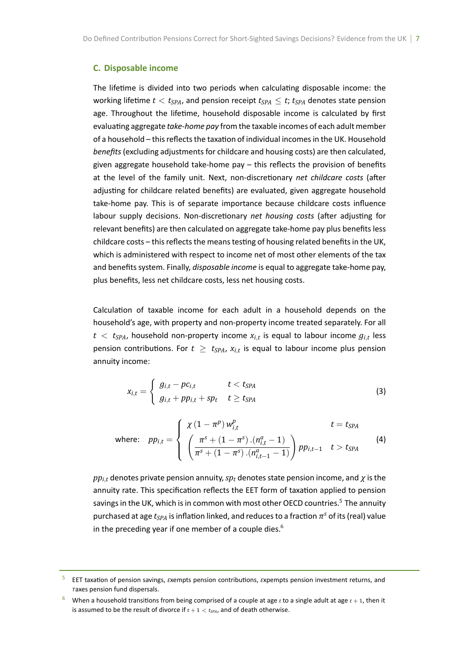#### **C. Disposable income**

The lifetime is divided into two periods when calculating disposable income: the working lifetime  $t < t_{SPA}$ , and pension receipt  $t_{SPA} \leq t$ ;  $t_{SPA}$  denotes state pension age. Throughout the lifetime, household disposable income is calculated by first evaluaƟng aggregate *take-home pay* from the taxable incomes of each adult member of a household – this reflects the taxation of individual incomes in the UK. Household *benefits*(excluding adjustments for childcare and housing costs) are then calculated, given aggregate household take-home pay – this reflects the provision of benefits at the level of the family unit. Next, non-discretionary *net childcare costs* (after adjusting for childcare related benefits) are evaluated, given aggregate household take-home pay. This is of separate importance because childcare costs influence labour supply decisions. Non-discretionary *net housing costs* (after adjusting for relevant benefits) are then calculated on aggregate take-home pay plus benefits less childcare costs – this reflects the means testing of housing related benefits in the UK, which is administered with respect to income net of most other elements of the tax and benefits system. Finally, *disposable income* is equal to aggregate take-home pay, plus benefits, less net childcare costs, less net housing costs.

Calculation of taxable income for each adult in a household depends on the household's age, with property and non-property income treated separately. For all  $t < t_{\text{SPA}}$ , household non-property income  $x_{i,t}$  is equal to labour income  $g_{i,t}$  less pension contributions. For  $t \geq t_{SPA}$ ,  $x_{i,t}$  is equal to labour income plus pension annuity income:

$$
x_{i,t} = \begin{cases} g_{i,t} - pc_{i,t} & t < t_{SPA} \\ g_{i,t} + pp_{i,t} + sp_t & t \ge t_{SPA} \end{cases}
$$
(3)

where: 
$$
pp_{i,t} = \begin{cases} \chi (1 - \pi^p) w_{i,t}^p & t = t_{SPA} \\ \left( \frac{\pi^s + (1 - \pi^s) \cdot (n_{i,t}^a - 1)}{\pi^s + (1 - \pi^s) \cdot (n_{i,t-1}^a - 1)} \right) pp_{i,t-1} & t > t_{SPA} \end{cases}
$$
(4)

*ppi,<sup>t</sup>* denotes private pension annuity,*sp<sup>t</sup>* denotes state pension income, and *χ* is the annuity rate. This specification reflects the EET form of taxation applied to pension savings in the UK, which is in common with most other OECD countries.<sup>5</sup> The annuity purchased at age  $t_{SPA}$  is inflation linked, and reduces to a fraction  $\pi^s$  of its (real) value in the preceding year if one member of a couple dies. $6$ 

EET taxation of pension savings, *Exempts pension contributions, Expempts pension investment returns*, and *T*axes pension fund dispersals.

When a household transitions from being comprised of a couple at age  $t$  to a single adult at age  $t + 1$ , then it is assumed to be the result of divorce if  $t + 1 < t_{SPA}$ , and of death otherwise.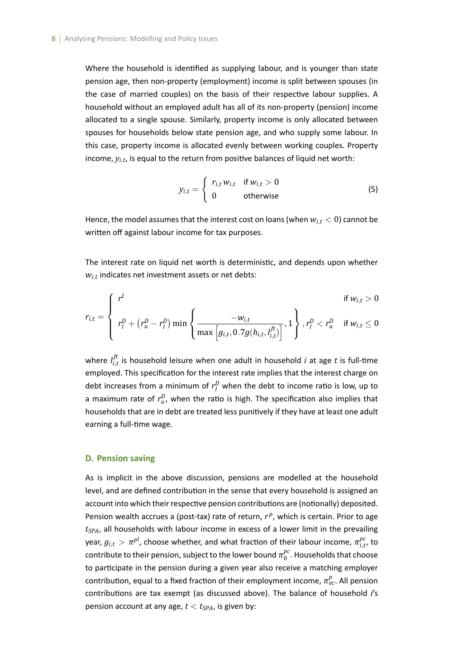Where the household is identified as supplying labour, and is younger than state pension age, then non-property (employment) income is split between spouses (in the case of married couples) on the basis of their respective labour supplies. A household without an employed adult has all of its non-property (pension) income allocated to a single spouse. Similarly, property income is only allocated between spouses for households below state pension age, and who supply some labour. In this case, property income is allocated evenly between working couples. Property income,  $y_{i,t}$ , is equal to the return from positive balances of liquid net worth:

$$
y_{i,t} = \begin{cases} r_{i,t} w_{i,t} & \text{if } w_{i,t} > 0 \\ 0 & \text{otherwise} \end{cases}
$$
 (5)

Hence, the model assumes that the interest cost on loans (when  $w_{i,t} < 0$ ) cannot be written off against labour income for tax purposes.

The interest rate on liquid net worth is deterministic, and depends upon whether *wi,<sup>t</sup>* indicates net investment assets or net debts:

$$
r_{i,t} = \begin{cases} r^l & \text{if } w_{i,t} > 0\\ r_l^D + (r_u^D - r_l^D) \min \left\{ \frac{-w_{i,t}}{\max \left[ g_{i,t}, 0.7g(h_{i,t}, l_{i,t}^{\hat{f}t}) \right]}, 1 \right\}, r_l^D < r_u^D \quad \text{if } w_{i,t} \le 0 \end{cases}
$$

where  $l_{i,t}^\text{ft}$  $\frac{d}{dt}$  is household leisure when one adult in household *i* at age *t* is full-time employed. This specification for the interest rate implies that the interest charge on debt increases from a minimum of  $r_l^D$  when the debt to income ratio is low, up to a maximum rate of  $r_u^D$ , when the ratio is high. The specification also implies that households that are in debt are treated less punitively if they have at least one adult earning a full-time wage.

#### **D. Pension saving**

As is implicit in the above discussion, pensions are modelled at the household level, and are defined contribution in the sense that every household is assigned an account into which their respective pension contributions are (notionally) deposited. Pension wealth accrues a (post-tax) rate of return,  $r^p$ , which is certain. Prior to age *tSPA*, all households with labour income in excess of a lower limit in the prevailing year,  $g_{i,t} > π^{pl}$ , choose whether, and what fraction of their labour income,  $π_{i,t}^{pc}$  $_{i,t}^{\rho\epsilon}$ , to contribute to their pension, subject to the lower bound  $\pi_0^{pc}$  $\frac{p}{0}$ . Households that choose to participate in the pension during a given year also receive a matching employer  $\epsilon$ contribution, equal to a fixed fraction of their employment income,  $\pi_{ec}^{p}$ . All pension contributions are tax exempt (as discussed above). The balance of household *i's* pension account at any age,  $t < t_{SPA}$ , is given by: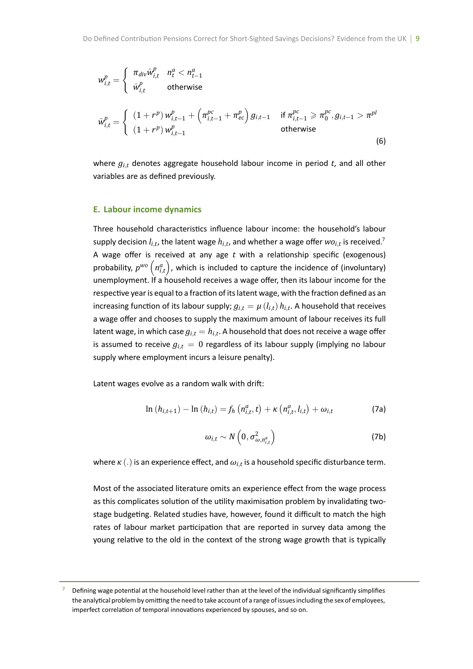$$
w_{i,t}^{p} = \begin{cases} \pi_{div} \hat{w}_{i,t}^{p} & n_t^{a} < n_{t-1}^{a} \\ \hat{w}_{i,t}^{p} & \text{otherwise} \end{cases}
$$
  

$$
\hat{w}_{i,t}^{p} = \begin{cases} (1+r^{p}) w_{i,t-1}^{p} + (\pi_{i,t-1}^{pc} + \pi_{ec}^{p}) g_{i,t-1} & \text{if } \pi_{i,t-1}^{pc} \geq \pi_{0}^{pc}, g_{i,t-1} > \pi^{pl} \\ (1+r^{p}) w_{i,t-1}^{p} & \text{otherwise} \end{cases}
$$
(6)

where *gi,<sup>t</sup>* denotes aggregate household labour income in period *t*, and all other variables are as defined previously.

#### **E. Labour income dynamics**

Three household characteristics influence labour income: the household's labour supply decision  $l_{i,t}$ , the latent wage  $h_{i,t}$ , and whether a wage offer  $wo_{i,t}$  is received.<sup>7</sup> A wage offer is received at any age *t* with a relationship specific (exogenous) probability,  $p^{wo}$   $\left(n_{i,t}^a\right)$ ) , which is included to capture the incidence of (involuntary) unemployment. If a household receives a wage offer, then its labour income for the respective year is equal to a fraction of its latent wage, with the fraction defined as an increasing function of its labour supply;  $g_{i,t} = \mu\left(l_{i,t}\right)h_{i,t}$ . A household that receives a wage offer and chooses to supply the maximum amount of labour receives its full latent wage, in which case  $g_{i,t} = h_{i,t}$ . A household that does not receive a wage offer is assumed to receive  $g_{i,t} = 0$  regardless of its labour supply (implying no labour supply where employment incurs a leisure penalty).

Latent wages evolve as a random walk with drift:

$$
\ln (h_{i,t+1}) - \ln (h_{i,t}) = f_h \left( n_{i,t}^a, t \right) + \kappa \left( n_{i,t}^a, l_{i,t} \right) + \omega_{i,t}
$$
 (7a)

$$
\omega_{i,t} \sim N\left(0, \sigma_{\omega,n_{i,t}}^2\right) \tag{7b}
$$

where  $\kappa$   $(.)$  is an experience effect, and  $\omega_{i,t}$  is a household specific disturbance term.

Most of the associated literature omits an experience effect from the wage process as this complicates solution of the utility maximisation problem by invalidating twostage budgeting. Related studies have, however, found it difficult to match the high rates of labour market participation that are reported in survey data among the young relative to the old in the context of the strong wage growth that is typically

Defining wage potential at the household level rather than at the level of the individual significantly simplifies the analytical problem by omitting the need to take account of a range of issues including the sex of employees, imperfect correlation of temporal innovations experienced by spouses, and so on.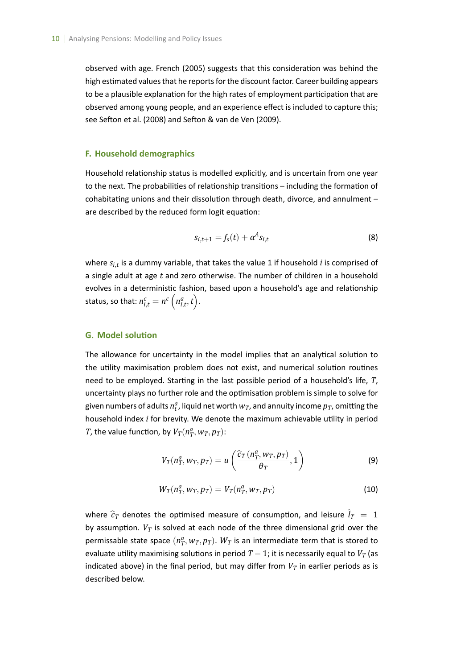observed with age. French (2005) suggests that this consideration was behind the high estimated values that he reports for the discount factor. Career building appears to be a plausible explanation for the high rates of employment participation that are observed among young people, and an experience effect is included to capture this; see Sefton et al. (2008) and Sefton & van de Ven (2009).

#### **F. Household demographics**

Household relationship status is modelled explicitly, and is uncertain from one year to the next. The probabilities of relationship transitions – including the formation of cohabitating unions and their dissolution through death, divorce, and annulment are described by the reduced form logit equation:

$$
s_{i,t+1} = f_s(t) + \alpha^A s_{i,t}
$$
 (8)

where *si,<sup>t</sup>* is a dummy variable, that takes the value 1 if household *i* is comprised of a single adult at age *t* and zero otherwise. The number of children in a household evolves in a deterministic fashion, based upon a household's age and relationship status, so that:  $n_{i,t}^c = n^c \left( n_{i,t}^a, t \right)$ .

### **G. Model soluƟon**

The allowance for uncertainty in the model implies that an analytical solution to the utility maximisation problem does not exist, and numerical solution routines need to be employed. Starting in the last possible period of a household's life, *T*, uncertainty plays no further role and the optimisation problem is simple to solve for given numbers of adults  $n^a_t$ , liquid net worth  $w_T$ , and annuity income  $p_T$ , omitting the household index *i* for brevity. We denote the maximum achievable utility in period *T*, the value function, by  $V_T(n_T^a, w_T, p_T)$ :

$$
V_T(n_T^a, w_T, p_T) = u\left(\frac{\widehat{c}_T(n_T^a, w_T, p_T)}{\theta_T}, 1\right)
$$
\n(9)

$$
W_T(n_T^a, w_T, p_T) = V_T(n_T^a, w_T, p_T)
$$
\n(10)

where  $\hat{c}_T$  denotes the optimised measure of consumption, and leisure  $\hat{l}_T = 1$ by assumption.  $V_T$  is solved at each node of the three dimensional grid over the permissable state space  $(n_T^a, w_T, p_T)$ .  $W_T$  is an intermediate term that is stored to evaluate utility maximising solutions in period  $T-1$ ; it is necessarily equal to  $V_T$  (as indicated above) in the final period, but may differ from  $V_T$  in earlier periods as is described below.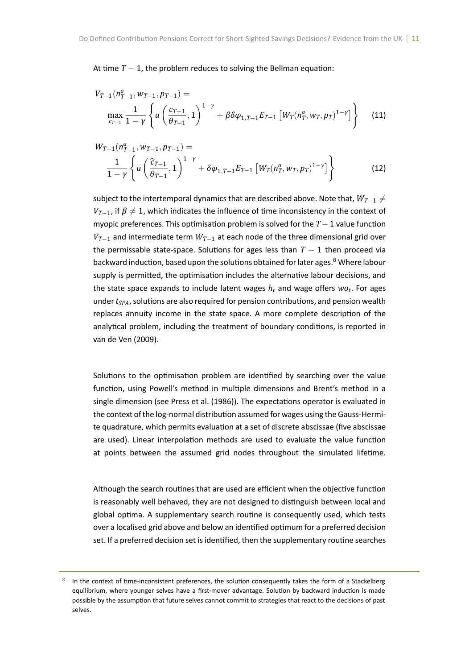#### At time  $T-1$ , the problem reduces to solving the Bellman equation:

$$
V_{T-1}(n_{T-1}^a, w_{T-1}, p_{T-1}) = \max_{c_{T-1}} \frac{1}{1 - \gamma} \left\{ u \left( \frac{c_{T-1}}{\theta_{T-1}}, 1 \right)^{1 - \gamma} + \beta \delta \varphi_{1, T-1} E_{T-1} \left[ W_T(n_T^a, w_T, p_T)^{1 - \gamma} \right] \right\}
$$
(11)

$$
W_{T-1}(n_{T-1}^a, w_{T-1}, p_{T-1}) =
$$
  
\n
$$
\frac{1}{1-\gamma} \left\{ u \left( \frac{\hat{c}_{T-1}}{\theta_{T-1}}, 1 \right)^{1-\gamma} + \delta \varphi_{1, T-1} E_{T-1} \left[ W_T(n_T^a, w_T, p_T)^{1-\gamma} \right] \right\}
$$
\n(12)

subject to the intertemporal dynamics that are described above. Note that,  $W_{T-1} \neq$ *V*<sub>*T*−1</sub>, if  $\beta \neq 1$ , which indicates the influence of time inconsistency in the context of myopic preferences. This optimisation problem is solved for the *T* − 1 value function *VT−*<sup>1</sup> and intermediate term *WT−*<sup>1</sup> at each node of the three dimensional grid over the permissable state-space. Solutions for ages less than  $T-1$  then proceed via backward induction, based upon the solutions obtained for later ages. $8$  Where labour supply is permitted, the optimisation includes the alternative labour decisions, and the state space expands to include latent wages *h<sup>t</sup>* and wage offers *wo<sup>t</sup>* . For ages under  $t<sub>SPA</sub>$ , solutions are also required for pension contributions, and pension wealth replaces annuity income in the state space. A more complete description of the analytical problem, including the treatment of boundary conditions, is reported in van de Ven (2009).

Solutions to the optimisation problem are identified by searching over the value function, using Powell's method in multiple dimensions and Brent's method in a single dimension (see Press et al. (1986)). The expectations operator is evaluated in the context of the log-normal distribution assumed for wages using the Gauss-Hermite quadrature, which permits evaluation at a set of discrete abscissae (five abscissae are used). Linear interpolation methods are used to evaluate the value function at points between the assumed grid nodes throughout the simulated lifetime.

Although the search routines that are used are efficient when the objective function is reasonably well behaved, they are not designed to distinguish between local and global optima. A supplementary search routine is consequently used, which tests over a localised grid above and below an identified optimum for a preferred decision set. If a preferred decision set is identified, then the supplementary routine searches

<sup>18</sup> In the context of time-inconsistent preferences, the solution consequently takes the form of a Stackelberg equilibrium, where younger selves have a first-mover advantage. Solution by backward induction is made possible by the assumption that future selves cannot commit to strategies that react to the decisions of past selves.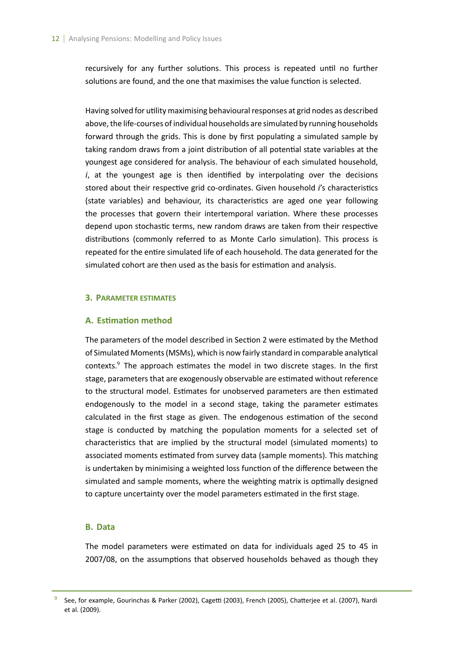recursively for any further solutions. This process is repeated until no further solutions are found, and the one that maximises the value function is selected.

Having solved for uƟlity maximising behavioural responses at grid nodes as described above, the life-courses of individual households are simulated by running households forward through the grids. This is done by first populating a simulated sample by taking random draws from a joint distribution of all potential state variables at the youngest age considered for analysis. The behaviour of each simulated household, *i*, at the youngest age is then identified by interpolating over the decisions stored about their respective grid co-ordinates. Given household *i's* characteristics (state variables) and behaviour, its characteristics are aged one year following the processes that govern their intertemporal variation. Where these processes depend upon stochastic terms, new random draws are taken from their respective distributions (commonly referred to as Monte Carlo simulation). This process is repeated for the entire simulated life of each household. The data generated for the simulated cohort are then used as the basis for estimation and analysis.

#### **3. PARAMETER ESTIMATES**

#### **A. EsƟmaƟon method**

The parameters of the model described in Section 2 were estimated by the Method of Simulated Moments (MSMs), which is now fairly standard in comparable analytical contexts.<sup>9</sup> The approach estimates the model in two discrete stages. In the first stage, parameters that are exogenously observable are estimated without reference to the structural model. Estimates for unobserved parameters are then estimated endogenously to the model in a second stage, taking the parameter estimates calculated in the first stage as given. The endogenous estimation of the second stage is conducted by matching the population moments for a selected set of characteristics that are implied by the structural model (simulated moments) to associated moments estimated from survey data (sample moments). This matching is undertaken by minimising a weighted loss function of the difference between the simulated and sample moments, where the weighting matrix is optimally designed to capture uncertainty over the model parameters estimated in the first stage.

#### **B. Data**

The model parameters were estimated on data for individuals aged 25 to 45 in 2007/08, on the assumptions that observed households behaved as though they

<sup>&</sup>lt;sup>9</sup> See, for example, Gourinchas & Parker (2002), Cagetti (2003), French (2005), Chatterjee et al. (2007), Nardi et al. (2009).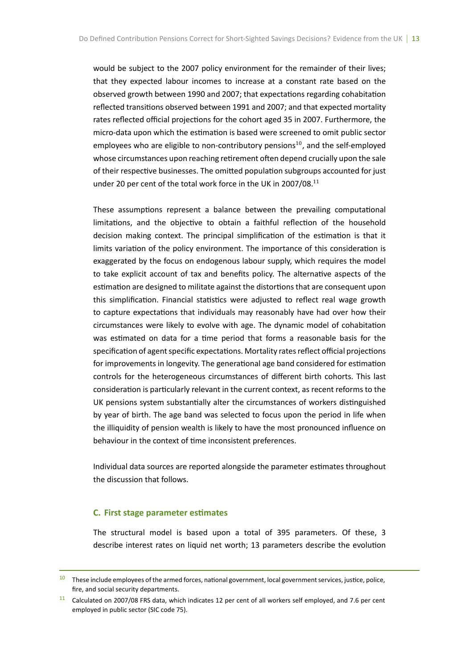would be subject to the 2007 policy environment for the remainder of their lives; that they expected labour incomes to increase at a constant rate based on the observed growth between 1990 and 2007; that expectations regarding cohabitation reflected transitions observed between 1991 and 2007; and that expected mortality rates reflected official projections for the cohort aged 35 in 2007. Furthermore, the micro-data upon which the estimation is based were screened to omit public sector employees who are eligible to non-contributory pensions<sup>10</sup>, and the self-employed whose circumstances upon reaching retirement often depend crucially upon the sale of their respective businesses. The omitted population subgroups accounted for just under 20 per cent of the total work force in the UK in 2007/08. $^{11}$ 

These assumptions represent a balance between the prevailing computational limitations, and the objective to obtain a faithful reflection of the household decision making context. The principal simplification of the estimation is that it limits variation of the policy environment. The importance of this consideration is exaggerated by the focus on endogenous labour supply, which requires the model to take explicit account of tax and benefits policy. The alternative aspects of the estimation are designed to militate against the distortions that are consequent upon this simplification. Financial statistics were adjusted to reflect real wage growth to capture expectations that individuals may reasonably have had over how their circumstances were likely to evolve with age. The dynamic model of cohabitation was estimated on data for a time period that forms a reasonable basis for the specification of agent specific expectations. Mortality rates reflect official projections for improvements in longevity. The generational age band considered for estimation controls for the heterogeneous circumstances of different birth cohorts. This last consideration is particularly relevant in the current context, as recent reforms to the UK pensions system substantially alter the circumstances of workers distinguished by year of birth. The age band was selected to focus upon the period in life when the illiquidity of pension wealth is likely to have the most pronounced influence on behaviour in the context of time inconsistent preferences.

Individual data sources are reported alongside the parameter estimates throughout the discussion that follows.

#### **C. First stage parameter esƟmates**

The structural model is based upon a total of 395 parameters. Of these, 3 describe interest rates on liquid net worth; 13 parameters describe the evolution

 $10$  These include employees of the armed forces, national government, local government services, justice, police, fire, and social security departments.

 $11$  Calculated on 2007/08 FRS data, which indicates 12 per cent of all workers self employed, and 7.6 per cent employed in public sector (SIC code 75).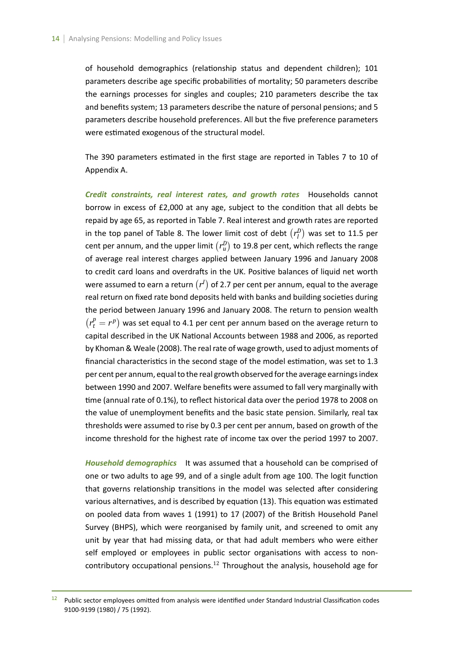of household demographics (relationship status and dependent children); 101 parameters describe age specific probabilities of mortality; 50 parameters describe the earnings processes for singles and couples; 210 parameters describe the tax and benefits system; 13 parameters describe the nature of personal pensions; and 5 parameters describe household preferences. All but the five preference parameters were estimated exogenous of the structural model.

The 390 parameters estimated in the first stage are reported in Tables 7 to 10 of Appendix A.

*Credit constraints, real interest rates, and growth rates* Households cannot borrow in excess of £2,000 at any age, subject to the condition that all debts be repaid by age 65, as reported in Table 7. Real interest and growth rates are reported in the top panel of Table 8. The lower limit cost of debt  $\left(r_{l}^{D}\right)$  was set to 11.5 per cent per annum, and the upper limit  $\left(r_u^D\right)$  to 19.8 per cent, which reflects the range of average real interest charges applied between January 1996 and January 2008 to credit card loans and overdrafts in the UK. Positive balances of liquid net worth were assumed to earn a return  $(r^{I})$  of 2.7 per cent per annum, equal to the average real return on fixed rate bond deposits held with banks and building societies during the period between January 1996 and January 2008. The return to pension wealth  $(r_t^p = r^p)$  was set equal to 4.1 per cent per annum based on the average return to capital described in the UK National Accounts between 1988 and 2006, as reported by Khoman & Weale (2008). The real rate of wage growth, used to adjust moments of financial characteristics in the second stage of the model estimation, was set to  $1.3$ per cent per annum, equal to the real growth observed for the average earnings index between 1990 and 2007. Welfare benefits were assumed to fall very marginally with time (annual rate of 0.1%), to reflect historical data over the period 1978 to 2008 on the value of unemployment benefits and the basic state pension. Similarly, real tax thresholds were assumed to rise by 0.3 per cent per annum, based on growth of the income threshold for the highest rate of income tax over the period 1997 to 2007.

*Household demographics* It was assumed that a household can be comprised of one or two adults to age 99, and of a single adult from age 100. The logit function that governs relationship transitions in the model was selected after considering various alternatives, and is described by equation (13). This equation was estimated on pooled data from waves 1 (1991) to 17 (2007) of the British Household Panel Survey (BHPS), which were reorganised by family unit, and screened to omit any unit by year that had missing data, or that had adult members who were either self employed or employees in public sector organisations with access to noncontributory occupational pensions.<sup>12</sup> Throughout the analysis, household age for

<sup>&</sup>lt;sup>12</sup> Public sector employees omitted from analysis were identified under Standard Industrial Classification codes 9100-9199 (1980) / 75 (1992).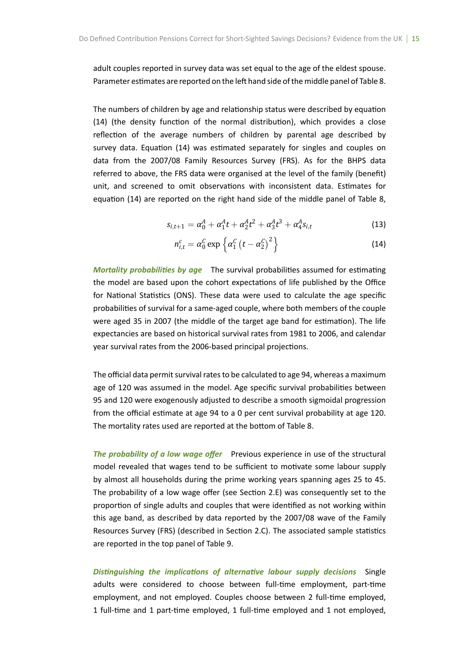adult couples reported in survey data was set equal to the age of the eldest spouse. Parameter estimates are reported on the left hand side of the middle panel of Table 8.

The numbers of children by age and relationship status were described by equation (14) (the density function of the normal distribution), which provides a close reflection of the average numbers of children by parental age described by survey data. Equation (14) was estimated separately for singles and couples on data from the 2007/08 Family Resources Survey (FRS). As for the BHPS data referred to above, the FRS data were organised at the level of the family (benefit) unit, and screened to omit observations with inconsistent data. Estimates for equation (14) are reported on the right hand side of the middle panel of Table 8,

$$
s_{i,t+1} = \alpha_0^A + \alpha_1^A t + \alpha_2^A t^2 + \alpha_3^A t^3 + \alpha_4^A s_{i,t}
$$
 (13)

$$
n_{i,t}^c = \alpha_0^c \exp\left\{ \alpha_1^c \left( t - \alpha_2^c \right)^2 \right\} \tag{14}
$$

*Mortality probabilities by age* The survival probabilities assumed for estimating the model are based upon the cohort expectations of life published by the Office for National Statistics (ONS). These data were used to calculate the age specific probabilities of survival for a same-aged couple, where both members of the couple were aged 35 in 2007 (the middle of the target age band for estimation). The life expectancies are based on historical survival rates from 1981 to 2006, and calendar year survival rates from the 2006-based principal projections.

The official data permit survival rates to be calculated to age 94, whereas a maximum age of 120 was assumed in the model. Age specific survival probabilities between 95 and 120 were exogenously adjusted to describe a smooth sigmoidal progression from the official estimate at age 94 to a 0 per cent survival probability at age 120. The mortality rates used are reported at the bottom of Table 8.

*The probability of a low wage offer* Previous experience in use of the structural model revealed that wages tend to be sufficient to motivate some labour supply by almost all households during the prime working years spanning ages 25 to 45. The probability of a low wage offer (see Section 2.E) was consequently set to the proportion of single adults and couples that were identified as not working within this age band, as described by data reported by the 2007/08 wave of the Family Resources Survey (FRS) (described in Section 2.C). The associated sample statistics are reported in the top panel of Table 9.

**Distinguishing the implications of alternative labour supply decisions** Single adults were considered to choose between full-time employment, part-time employment, and not employed. Couples choose between 2 full-time emploved. 1 full-time and 1 part-time employed, 1 full-time employed and 1 not employed,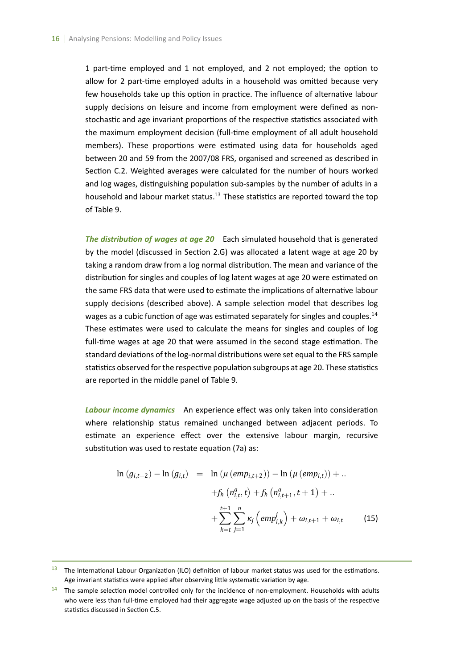1 part-time employed and 1 not employed, and 2 not employed; the option to allow for 2 part-time employed adults in a household was omitted because very few households take up this option in practice. The influence of alternative labour supply decisions on leisure and income from employment were defined as nonstochastic and age invariant proportions of the respective statistics associated with the maximum employment decision (full-time employment of all adult household members). These proportions were estimated using data for households aged between 20 and 59 from the 2007/08 FRS, organised and screened as described in Section C.2. Weighted averages were calculated for the number of hours worked and log wages, distinguishing population sub-samples by the number of adults in a household and labour market status. $^{13}$  These statistics are reported toward the top of Table 9.

**The distribution of wages at age 20** Each simulated household that is generated by the model (discussed in Section 2.G) was allocated a latent wage at age 20 by taking a random draw from a log normal distribution. The mean and variance of the distribution for singles and couples of log latent wages at age 20 were estimated on the same FRS data that were used to estimate the implications of alternative labour supply decisions (described above). A sample selection model that describes log wages as a cubic function of age was estimated separately for singles and couples.<sup>14</sup> These estimates were used to calculate the means for singles and couples of log full-time wages at age 20 that were assumed in the second stage estimation. The standard deviations of the log-normal distributions were set equal to the FRS sample statistics observed for the respective population subgroups at age 20. These statistics are reported in the middle panel of Table 9.

Labour income dynamics An experience effect was only taken into consideration where relationship status remained unchanged between adjacent periods. To estimate an experience effect over the extensive labour margin, recursive substitution was used to restate equation (7a) as:

$$
\ln (g_{i,t+2}) - \ln (g_{i,t}) = \ln (\mu (emp_{i,t+2})) - \ln (\mu (emp_{i,t})) + ... + f_h (n_{i,t}^a, t) + f_h (n_{i,t+1}^a, t+1) + ... + \sum_{k=t}^{t+1} \sum_{j=1}^n \kappa_j (emp_{i,k}^j) + \omega_{i,t+1} + \omega_{i,t}
$$
 (15)

The International Labour Organization (ILO) definition of labour market status was used for the estimations. Age invariant statistics were applied after observing little systematic variation by age.

<sup>&</sup>lt;sup>14</sup> The sample selection model controlled only for the incidence of non-employment. Households with adults who were less than full-time employed had their aggregate wage adjusted up on the basis of the respective statistics discussed in Section C.5.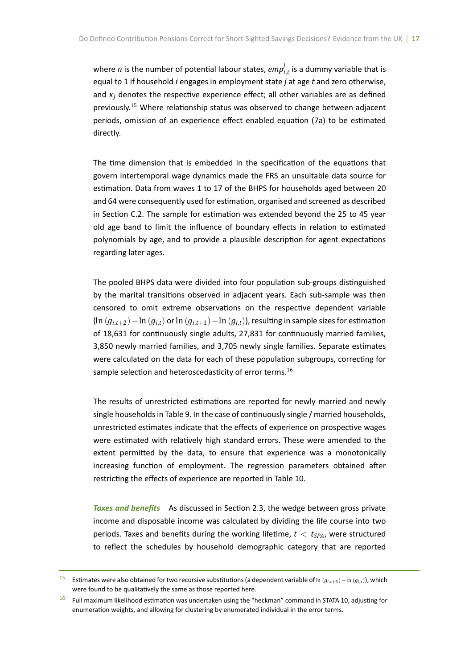where *n* is the number of potential labour states,  $emp_i^j$ *i,t* is a dummy variable that is equal to 1 if household *i* engages in employment state *j* at age *t* and zero otherwise, and  $\kappa_i$  denotes the respective experience effect; all other variables are as defined previously.<sup>15</sup> Where relationship status was observed to change between adjacent periods, omission of an experience effect enabled equation (7a) to be estimated directly.

The time dimension that is embedded in the specification of the equations that govern intertemporal wage dynamics made the FRS an unsuitable data source for estimation. Data from waves 1 to 17 of the BHPS for households aged between 20 and 64 were consequently used for estimation, organised and screened as described in Section C.2. The sample for estimation was extended beyond the 25 to 45 year old age band to limit the influence of boundary effects in relation to estimated polynomials by age, and to provide a plausible description for agent expectations regarding later ages.

The pooled BHPS data were divided into four population sub-groups distinguished by the marital transitions observed in adjacent years. Each sub-sample was then censored to omit extreme observations on the respective dependent variable  $(\ln (g_{i,t+2}) - \ln (g_{i,t})$  or  $\ln (g_{i,t+1}) - \ln (g_{i,t})$ , resulting in sample sizes for estimation of 18,631 for continuously single adults, 27,831 for continuously married families, 3,850 newly married families, and 3,705 newly single families. Separate estimates were calculated on the data for each of these population subgroups, correcting for sample selection and heteroscedasticity of error terms.<sup>16</sup>

The results of unrestricted estimations are reported for newly married and newly single households in Table 9. In the case of continuously single / married households, unrestricted estimates indicate that the effects of experience on prospective wages were estimated with relatively high standard errors. These were amended to the extent permitted by the data, to ensure that experience was a monotonically increasing function of employment. The regression parameters obtained after restricting the effects of experience are reported in Table 10.

**Taxes and benefits** As discussed in Section 2.3, the wedge between gross private income and disposable income was calculated by dividing the life course into two periods. Taxes and benefits during the working lifetime,  $t < t_{SPA}$ , were structured to reflect the schedules by household demographic category that are reported

<sup>15</sup> EsƟmates were also obtained for two recursive subsƟtuƟons (a dependent variable of ln (*gi,t*+3)*−*ln (*gi,t*)), which were found to be qualitatively the same as those reported here.

 $16$  Full maximum likelihood estimation was undertaken using the "heckman" command in STATA 10, adjusting for enumeration weights, and allowing for clustering by enumerated individual in the error terms.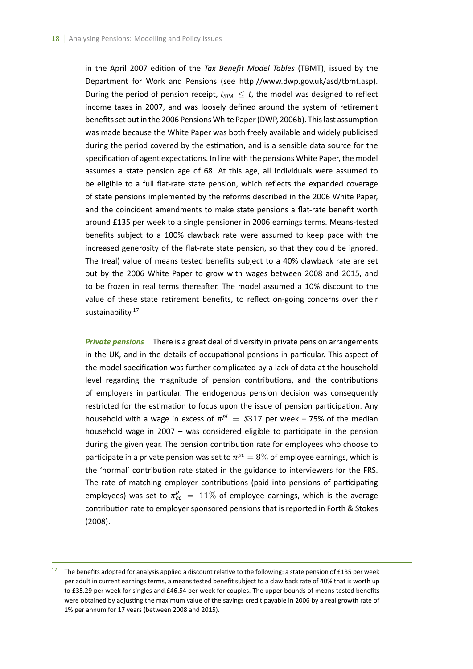in the April 2007 edition of the *Tax Benefit Model Tables* (TBMT), issued by the Department for Work and Pensions (see http://www.dwp.gov.uk/asd/tbmt.asp). During the period of pension receipt,  $t_{SPA} \leq t$ , the model was designed to reflect income taxes in 2007, and was loosely defined around the system of retirement benefits set out in the 2006 Pensions White Paper (DWP, 2006b). This last assumption was made because the White Paper was both freely available and widely publicised during the period covered by the estimation, and is a sensible data source for the specification of agent expectations. In line with the pensions White Paper, the model assumes a state pension age of 68. At this age, all individuals were assumed to be eligible to a full flat-rate state pension, which reflects the expanded coverage of state pensions implemented by the reforms described in the 2006 White Paper, and the coincident amendments to make state pensions a flat-rate benefit worth around £135 per week to a single pensioner in 2006 earnings terms. Means-tested benefits subject to a 100% clawback rate were assumed to keep pace with the increased generosity of the flat-rate state pension, so that they could be ignored. The (real) value of means tested benefits subject to a 40% clawback rate are set out by the 2006 White Paper to grow with wages between 2008 and 2015, and to be frozen in real terms thereafter. The model assumed a 10% discount to the value of these state retirement benefits, to reflect on-going concerns over their sustainability.<sup>17</sup>

*Private pensions* There is a great deal of diversity in private pension arrangements in the UK, and in the details of occupational pensions in particular. This aspect of the model specification was further complicated by a lack of data at the household level regarding the magnitude of pension contributions, and the contributions of employers in particular. The endogenous pension decision was consequently restricted for the estimation to focus upon the issue of pension participation. Any household with a wage in excess of  $\pi^{pl} =$  \$317 per week – 75% of the median household wage in 2007 – was considered eligible to participate in the pension during the given year. The pension contribution rate for employees who choose to participate in a private pension was set to  $\pi^{pc} = 8\%$  of employee earnings, which is the 'normal' contribution rate stated in the guidance to interviewers for the FRS. The rate of matching employer contributions (paid into pensions of participating employees) was set to  $\pi_{ec}^p~=~11\%$  of employee earnings, which is the average contribution rate to employer sponsored pensions that is reported in Forth & Stokes (2008).

The benefits adopted for analysis applied a discount relative to the following: a state pension of £135 per week per adult in current earnings terms, a means tested benefit subject to a claw back rate of 40% that is worth up to £35.29 per week for singles and £46.54 per week for couples. The upper bounds of means tested benefits were obtained by adjusting the maximum value of the savings credit payable in 2006 by a real growth rate of 1% per annum for 17 years (between 2008 and 2015).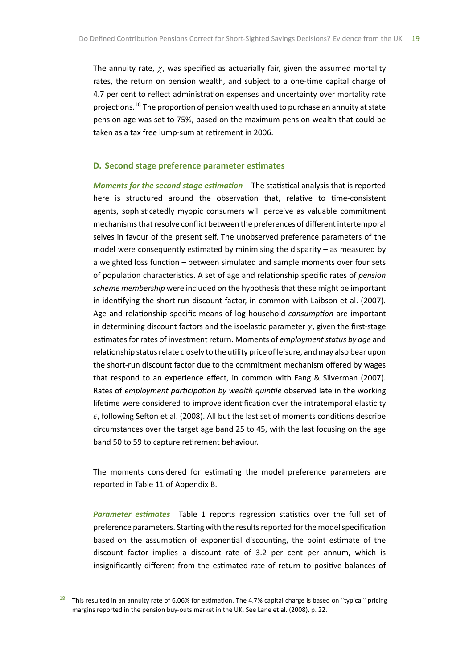The annuity rate,  $\chi$ , was specified as actuarially fair, given the assumed mortality rates, the return on pension wealth, and subject to a one-time capital charge of 4.7 per cent to reflect administration expenses and uncertainty over mortality rate projections.<sup>18</sup> The proportion of pension wealth used to purchase an annuity at state pension age was set to 75%, based on the maximum pension wealth that could be taken as a tax free lump-sum at retirement in 2006.

#### **D. Second stage preference parameter estimates**

*Moments for the second stage estimation* The statistical analysis that is reported here is structured around the observation that, relative to time-consistent agents, sophisticatedly myopic consumers will perceive as valuable commitment mechanisms that resolve conflict between the preferences of different intertemporal selves in favour of the present self. The unobserved preference parameters of the model were consequently estimated by minimising the disparity  $-$  as measured by a weighted loss function – between simulated and sample moments over four sets of populaƟon characterisƟcs. A set of age and relaƟonship specific rates of *pension scheme membership* were included on the hypothesis that these might be important in identifying the short-run discount factor, in common with Laibson et al. (2007). Age and relationship specific means of log household *consumption* are important in determining discount factors and the isoelasƟc parameter *γ*, given the first-stage estimates for rates of investment return. Moments of *employment status by age* and relationship status relate closely to the utility price of leisure, and may also bear upon the short-run discount factor due to the commitment mechanism offered by wages that respond to an experience effect, in common with Fang & Silverman (2007). Rates of *employment participation by wealth quintile* observed late in the working lifetime were considered to improve identification over the intratemporal elasticity  $\epsilon$ , following Sefton et al. (2008). All but the last set of moments conditions describe circumstances over the target age band 25 to 45, with the last focusing on the age band 50 to 59 to capture retirement behaviour.

The moments considered for estimating the model preference parameters are reported in Table 11 of Appendix B.

**Parameter estimates** Table 1 reports regression statistics over the full set of preference parameters. Starting with the results reported for the model specification based on the assumption of exponential discounting, the point estimate of the discount factor implies a discount rate of 3.2 per cent per annum, which is insignificantly different from the estimated rate of return to positive balances of

<sup>&</sup>lt;sup>18</sup> This resulted in an annuity rate of 6.06% for estimation. The 4.7% capital charge is based on "typical" pricing margins reported in the pension buy-outs market in the UK. See Lane et al. (2008), p. 22.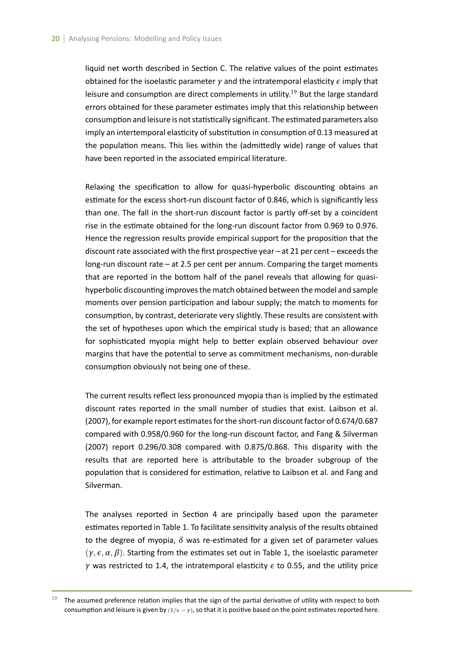liquid net worth described in Section C. The relative values of the point estimates obtained for the isoelastic parameter *γ* and the intratemporal elasticity *ε* imply that leisure and consumption are direct complements in utility.<sup>19</sup> But the large standard errors obtained for these parameter estimates imply that this relationship between consumption and leisure is not statistically significant. The estimated parameters also imply an intertemporal elasticity of substitution in consumption of 0.13 measured at the population means. This lies within the (admittedly wide) range of values that have been reported in the associated empirical literature.

Relaxing the specification to allow for quasi-hyperbolic discounting obtains an estimate for the excess short-run discount factor of 0.846, which is significantly less than one. The fall in the short-run discount factor is partly off-set by a coincident rise in the estimate obtained for the long-run discount factor from 0.969 to 0.976. Hence the regression results provide empirical support for the proposition that the discount rate associated with the first prospective year  $-$  at 21 per cent  $-$  exceeds the long-run discount rate – at 2.5 per cent per annum. Comparing the target moments that are reported in the bottom half of the panel reveals that allowing for quasihyperbolic discounting improves the match obtained between the model and sample moments over pension participation and labour supply; the match to moments for consumption, by contrast, deteriorate very slightly. These results are consistent with the set of hypotheses upon which the empirical study is based; that an allowance for sophisticated myopia might help to better explain observed behaviour over margins that have the potential to serve as commitment mechanisms, non-durable consumption obviously not being one of these.

The current results reflect less pronounced myopia than is implied by the estimated discount rates reported in the small number of studies that exist. Laibson et al. (2007), for example report estimates for the short-run discount factor of 0.674/0.687 compared with 0.958/0.960 for the long-run discount factor, and Fang & Silverman (2007) report 0.296/0.308 compared with 0.875/0.868. This disparity with the results that are reported here is attributable to the broader subgroup of the population that is considered for estimation, relative to Laibson et al. and Fang and Silverman.

The analyses reported in Section 4 are principally based upon the parameter estimates reported in Table 1. To facilitate sensitivity analysis of the results obtained to the degree of myopia,  $\delta$  was re-estimated for a given set of parameter values  $(\gamma, \epsilon, \alpha, \beta)$ . Starting from the estimates set out in Table 1, the isoelastic parameter *γ* was restricted to 1.4, the intratemporal elasticity  $\epsilon$  to 0.55, and the utility price

<sup>&</sup>lt;sup>19</sup> The assumed preference relation implies that the sign of the partial derivative of utility with respect to both consumption and leisure is given by  $(1/\epsilon - \gamma)$ , so that it is positive based on the point estimates reported here.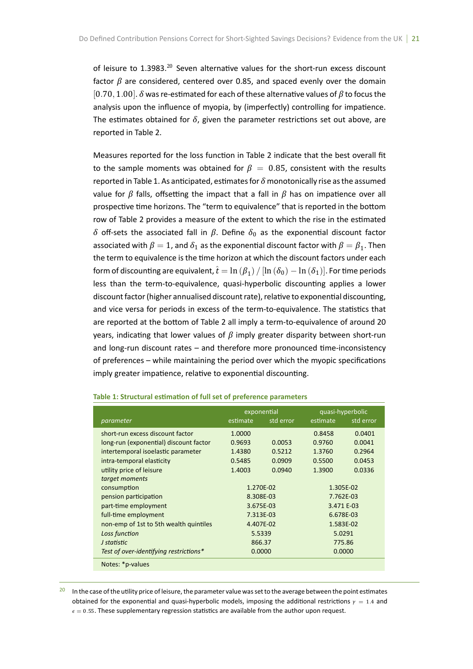of leisure to  $1.3983$ <sup>20</sup> Seven alternative values for the short-run excess discount factor *β* are considered, centered over 0.85, and spaced evenly over the domain [0*.*70*,* 1*.*00]. *δ* was re-esƟmated for each of these alternaƟve values of *β* to focus the analysis upon the influence of myopia, by (imperfectly) controlling for impatience. The estimates obtained for  $\delta$ , given the parameter restrictions set out above, are reported in Table 2.

Measures reported for the loss function in Table 2 indicate that the best overall fit to the sample moments was obtained for  $\beta = 0.85$ , consistent with the results reported in Table 1. As anticipated, estimates for  $\delta$  monotonically rise as the assumed value for  $β$  falls, offsetting the impact that a fall in  $β$  has on impatience over all prospective time horizons. The "term to equivalence" that is reported in the bottom row of Table 2 provides a measure of the extent to which the rise in the estimated  $\delta$  off-sets the associated fall in  $\beta$ . Define  $\delta_0$  as the exponential discount factor associated with  $\beta=1$ , and  $\delta_1$  as the exponential discount factor with  $\beta=\beta_1.$  Then the term to equivalence is the time horizon at which the discount factors under each form of discounting are equivalent,  $\hat{t} = \ln{(\beta_1)}/\left[\ln{(\delta_0)} - \ln{(\delta_1)}\right]$ . For time periods less than the term-to-equivalence, quasi-hyperbolic discounting applies a lower discount factor (higher annualised discount rate), relative to exponential discounting, and vice versa for periods in excess of the term-to-equivalence. The statistics that are reported at the bottom of Table 2 all imply a term-to-equivalence of around 20 years, indicating that lower values of  $\beta$  imply greater disparity between short-run and long-run discount rates – and therefore more pronounced time-inconsistency of preferences – while maintaining the period over which the myopic specifications imply greater impatience, relative to exponential discounting.

|                                        |           | exponential |          | quasi-hyperbolic |
|----------------------------------------|-----------|-------------|----------|------------------|
| parameter                              | estimate  | std error   | estimate | std error        |
| short-run excess discount factor       | 1.0000    |             | 0.8458   | 0.0401           |
| long-run (exponential) discount factor | 0.9693    | 0.0053      | 0.9760   | 0.0041           |
| intertemporal isoelastic parameter     | 1.4380    | 0.5212      | 1.3760   | 0.2964           |
| intra-temporal elasticity              | 0.5485    | 0.0909      | 0.5500   | 0.0453           |
| utility price of leisure               | 1.4003    | 0.0940      | 1.3900   | 0.0336           |
| target moments                         |           |             |          |                  |
| consumption                            |           | 1.270E-02   |          | 1.305E-02        |
| pension participation                  | 8.308E-03 |             |          | 7.762E-03        |
| part-time employment                   | 3.675E-03 |             |          | 3.471 E-03       |
| full-time employment                   | 7.313E-03 |             |          | 6.678E-03        |
| non-emp of 1st to 5th wealth quintiles | 4.407E-02 |             |          | 1.583E-02        |
| Loss function                          | 5.5339    |             |          | 5.0291           |
| J statistic                            | 866.37    |             |          | 775.86           |
| Test of over-identifying restrictions* | 0.0000    |             |          | 0.0000           |
| Notes: *p-values                       |           |             |          |                  |

**Table 1: Structural estimation of full set of preference parameters** 

 $20$  In the case of the utility price of leisure, the parameter value was set to the average between the point estimates obtained for the exponential and quasi-hyperbolic models, imposing the additional restrictions *γ* = 1.4 and  $\epsilon = 0.55$ . These supplementary regression statistics are available from the author upon request.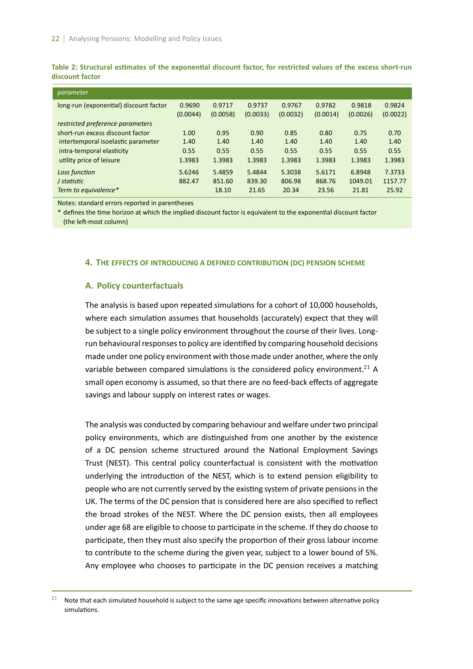Table 2: Structural estimates of the exponential discount factor, for restricted values of the excess short-run **discount factor**

| parameter                              |          |          |          |          |          |          |          |
|----------------------------------------|----------|----------|----------|----------|----------|----------|----------|
| long-run (exponential) discount factor | 0.9690   | 0.9717   | 0.9737   | 0.9767   | 0.9782   | 0.9818   | 0.9824   |
|                                        | (0.0044) | (0.0058) | (0.0033) | (0.0032) | (0.0014) | (0.0026) | (0.0022) |
| restricted preference parameters       |          |          |          |          |          |          |          |
| short-run excess discount factor       | 1.00     | 0.95     | 0.90     | 0.85     | 0.80     | 0.75     | 0.70     |
| intertemporal isoelastic parameter     | 1.40     | 1.40     | 1.40     | 1.40     | 1.40     | 1.40     | 1.40     |
| intra-temporal elasticity              | 0.55     | 0.55     | 0.55     | 0.55     | 0.55     | 0.55     | 0.55     |
| utility price of leisure               | 1.3983   | 1.3983   | 1.3983   | 1.3983   | 1.3983   | 1.3983   | 1.3983   |
| Loss function                          | 5.6246   | 5.4859   | 5.4844   | 5.3038   | 5.6171   | 6.8948   | 7.3733   |
| J statistic                            | 882.47   | 851.60   | 839.30   | 806.98   | 868.76   | 1049.01  | 1157.77  |
| Term to equivalence*                   |          | 18.10    | 21.65    | 20.34    | 23.56    | 21.81    | 25.92    |

Notes: standard errors reported in parentheses

\* defines the time horizon at which the implied discount factor is equivalent to the exponential discount factor (the left-most column)

#### **4. THE EFFECTS OF INTRODUCING A DEFINED CONTRIBUTION (DC) PENSION SCHEME**

#### **A. Policy counterfactuals**

The analysis is based upon repeated simulations for a cohort of 10,000 households, where each simulation assumes that households (accurately) expect that they will be subject to a single policy environment throughout the course of their lives. Longrun behavioural responses to policy are identified by comparing household decisions made under one policy environment with those made under another, where the only variable between compared simulations is the considered policy environment.<sup>21</sup> A small open economy is assumed, so that there are no feed-back effects of aggregate savings and labour supply on interest rates or wages.

The analysis was conducted by comparing behaviour and welfare under two principal policy environments, which are distinguished from one another by the existence of a DC pension scheme structured around the National Employment Savings Trust (NEST). This central policy counterfactual is consistent with the motivation underlying the introduction of the NEST, which is to extend pension eligibility to people who are not currently served by the existing system of private pensions in the UK. The terms of the DC pension that is considered here are also specified to reflect the broad strokes of the NEST. Where the DC pension exists, then all employees under age 68 are eligible to choose to participate in the scheme. If they do choose to participate, then they must also specify the proportion of their gross labour income to contribute to the scheme during the given year, subject to a lower bound of 5%. Any employee who chooses to participate in the DC pension receives a matching

<sup>&</sup>lt;sup>21</sup> Note that each simulated household is subject to the same age specific innovations between alternative policy simulations.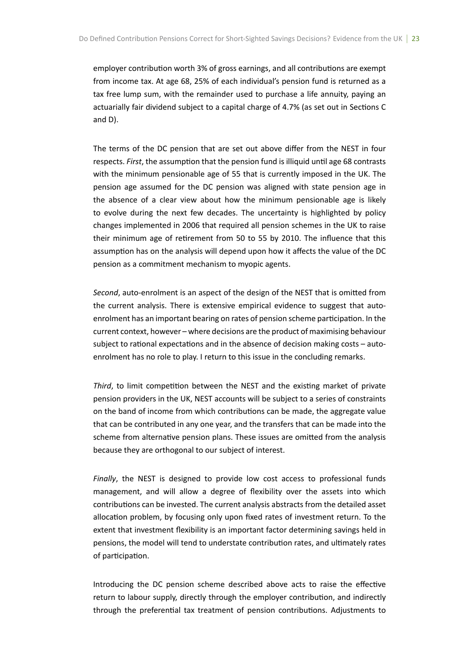employer contribution worth 3% of gross earnings, and all contributions are exempt from income tax. At age 68, 25% of each individual's pension fund is returned as a tax free lump sum, with the remainder used to purchase a life annuity, paying an actuarially fair dividend subject to a capital charge of 4.7% (as set out in Sections C and D).

The terms of the DC pension that are set out above differ from the NEST in four respects. *First*, the assumption that the pension fund is illiquid until age 68 contrasts with the minimum pensionable age of 55 that is currently imposed in the UK. The pension age assumed for the DC pension was aligned with state pension age in the absence of a clear view about how the minimum pensionable age is likely to evolve during the next few decades. The uncertainty is highlighted by policy changes implemented in 2006 that required all pension schemes in the UK to raise their minimum age of retirement from 50 to 55 by 2010. The influence that this assumption has on the analysis will depend upon how it affects the value of the DC pension as a commitment mechanism to myopic agents.

Second, auto-enrolment is an aspect of the design of the NEST that is omitted from the current analysis. There is extensive empirical evidence to suggest that autoenrolment has an important bearing on rates of pension scheme participation. In the current context, however – where decisions are the product of maximising behaviour subject to rational expectations and in the absence of decision making costs – autoenrolment has no role to play. I return to this issue in the concluding remarks.

*Third*, to limit competition between the NEST and the existing market of private pension providers in the UK, NEST accounts will be subject to a series of constraints on the band of income from which contributions can be made, the aggregate value that can be contributed in any one year, and the transfers that can be made into the scheme from alternative pension plans. These issues are omitted from the analysis because they are orthogonal to our subject of interest.

*Finally*, the NEST is designed to provide low cost access to professional funds management, and will allow a degree of flexibility over the assets into which contributions can be invested. The current analysis abstracts from the detailed asset allocation problem, by focusing only upon fixed rates of investment return. To the extent that investment flexibility is an important factor determining savings held in pensions, the model will tend to understate contribution rates, and ultimately rates of participation.

Introducing the DC pension scheme described above acts to raise the effective return to labour supply, directly through the employer contribution, and indirectly through the preferential tax treatment of pension contributions. Adjustments to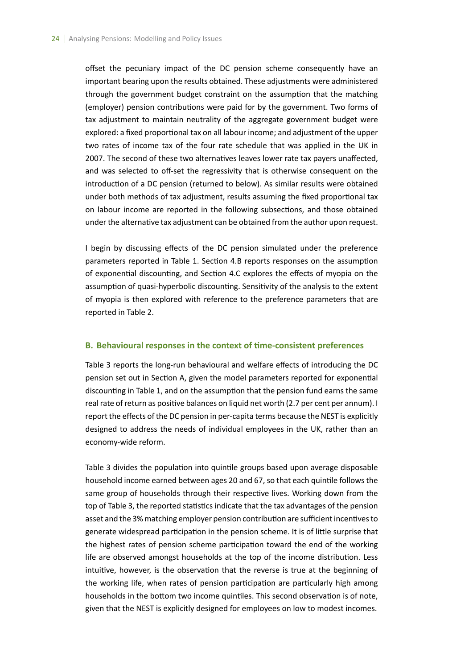offset the pecuniary impact of the DC pension scheme consequently have an important bearing upon the results obtained. These adjustments were administered through the government budget constraint on the assumption that the matching (employer) pension contributions were paid for by the government. Two forms of tax adjustment to maintain neutrality of the aggregate government budget were explored: a fixed proportional tax on all labour income; and adjustment of the upper two rates of income tax of the four rate schedule that was applied in the UK in 2007. The second of these two alternatives leaves lower rate tax payers unaffected, and was selected to off-set the regressivity that is otherwise consequent on the introduction of a DC pension (returned to below). As similar results were obtained under both methods of tax adjustment, results assuming the fixed proportional tax on labour income are reported in the following subsections, and those obtained under the alternative tax adjustment can be obtained from the author upon request.

I begin by discussing effects of the DC pension simulated under the preference parameters reported in Table 1. Section 4.B reports responses on the assumption of exponential discounting, and Section 4.C explores the effects of myopia on the assumption of quasi-hyperbolic discounting. Sensitivity of the analysis to the extent of myopia is then explored with reference to the preference parameters that are reported in Table 2.

#### **B. Behavioural responses in the context of Ɵme-consistent preferences**

Table 3 reports the long-run behavioural and welfare effects of introducing the DC pension set out in Section A, given the model parameters reported for exponential discounting in Table 1, and on the assumption that the pension fund earns the same real rate of return as positive balances on liquid net worth (2.7 per cent per annum). I report the effects of the DC pension in per-capita terms because the NEST is explicitly designed to address the needs of individual employees in the UK, rather than an economy-wide reform.

Table 3 divides the population into quintile groups based upon average disposable household income earned between ages 20 and 67, so that each quintile follows the same group of households through their respective lives. Working down from the top of Table 3, the reported statistics indicate that the tax advantages of the pension asset and the 3% matching employer pension contribution are sufficient incentives to generate widespread participation in the pension scheme. It is of little surprise that the highest rates of pension scheme participation toward the end of the working life are observed amongst households at the top of the income distribution. Less intuitive, however, is the observation that the reverse is true at the beginning of the working life, when rates of pension participation are particularly high among households in the bottom two income quintiles. This second observation is of note, given that the NEST is explicitly designed for employees on low to modest incomes.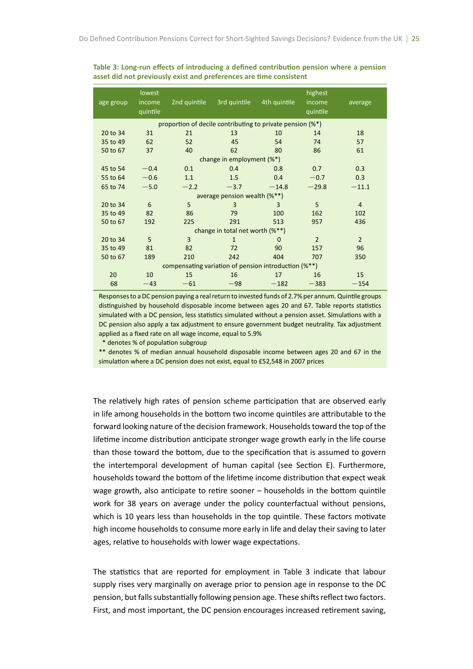| age group | lowest<br>income<br>quintile | 2nd quintile                                              | 3rd quintile                    | 4th quintile | highest<br>income<br>quintile | average        |
|-----------|------------------------------|-----------------------------------------------------------|---------------------------------|--------------|-------------------------------|----------------|
|           |                              | proportion of decile contributing to private pension (%*) |                                 |              |                               |                |
| 20 to 34  | 31                           | 21                                                        | 13                              | 10           | 14                            | 18             |
| 35 to 49  | 62                           | 52                                                        | 45                              | 54           | 74                            | 57             |
| 50 to 67  | 37                           | 40                                                        | 62                              | 80           | 86                            | 61             |
|           |                              |                                                           | change in employment (%*)       |              |                               |                |
| 45 to 54  | $-0.4$                       | 0.1                                                       | 0.4                             | 0.8          | 0.7                           | 0.3            |
| 55 to 64  | $-0.6$                       | 1.1                                                       | 1.5                             | 0.4          | $-0.7$                        | 0.3            |
| 65 to 74  | $-5.0$                       | $-2.2$                                                    | $-3.7$                          | $-14.8$      | $-29.8$                       | $-11.1$        |
|           |                              |                                                           | average pension wealth (%**)    |              |                               |                |
| 20 to 34  | 6                            | 5                                                         | 3                               | 3            | 5                             | $\overline{4}$ |
| 35 to 49  | 82                           | 86                                                        | 79                              | 100          | 162                           | 102            |
| 50 to 67  | 192                          | 225                                                       | 291                             | 513          | 957                           | 436            |
|           |                              |                                                           | change in total net worth (%**) |              |                               |                |
| 20 to 34  | 5                            | $\overline{3}$                                            | $\mathbf{1}$                    | $\Omega$     | $\overline{2}$                | $\overline{2}$ |
| 35 to 49  | 81                           | 82                                                        | 72                              | 90           | 157                           | 96             |
| 50 to 67  | 189                          | 210                                                       | 242                             | 404          | 707                           | 350            |
|           |                              | compensating variation of pension introduction (%**)      |                                 |              |                               |                |
| 20        | 10                           | 15                                                        | 16                              | 17           | 16                            | 15             |
| 68        | $-43$                        | $-61$                                                     | $-98$                           | $-182$       | $-383$                        | $-154$         |

**Table 3: Long-run effects of introducing a defined contribution pension where a pension asset did not previously exist and preferences are Ɵme consistent**

Responses to a DC pension paying a real return to invested funds of 2.7% per annum. Quintile groups distinguished by household disposable income between ages 20 and 67. Table reports statistics simulated with a DC pension, less statistics simulated without a pension asset. Simulations with a DC pension also apply a tax adjustment to ensure government budget neutrality. Tax adjustment applied as a fixed rate on all wage income, equal to 5.9%

\* denotes % of population subgroup

\*\* denotes % of median annual household disposable income between ages 20 and 67 in the simulation where a DC pension does not exist, equal to £52,548 in 2007 prices

The relatively high rates of pension scheme participation that are observed early in life among households in the bottom two income quintiles are attributable to the forward looking nature of the decision framework. Households toward the top of the lifetime income distribution anticipate stronger wage growth early in the life course than those toward the bottom, due to the specification that is assumed to govern the intertemporal development of human capital (see Section E). Furthermore, households toward the bottom of the lifetime income distribution that expect weak wage growth, also anticipate to retire sooner - households in the bottom quintile work for 38 years on average under the policy counterfactual without pensions, which is 10 years less than households in the top quintile. These factors motivate high income households to consume more early in life and delay their saving to later ages, relative to households with lower wage expectations.

The statistics that are reported for employment in Table 3 indicate that labour supply rises very marginally on average prior to pension age in response to the DC pension, but falls substantially following pension age. These shifts reflect two factors. First, and most important, the DC pension encourages increased retirement saving,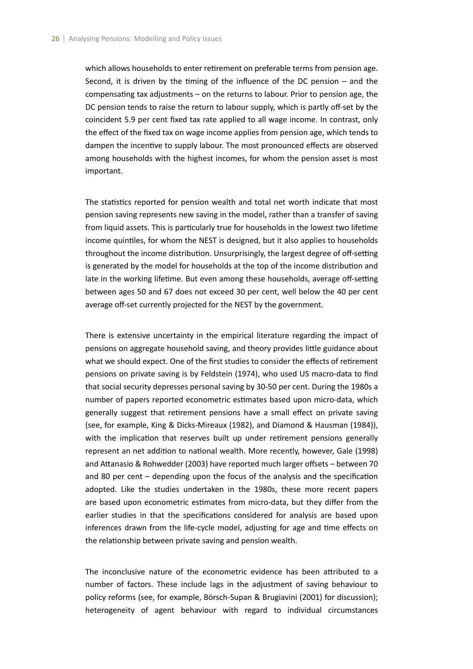which allows households to enter retirement on preferable terms from pension age. Second, it is driven by the timing of the influence of the DC pension  $-$  and the compensating tax adjustments – on the returns to labour. Prior to pension age, the DC pension tends to raise the return to labour supply, which is partly off-set by the coincident 5.9 per cent fixed tax rate applied to all wage income. In contrast, only the effect of the fixed tax on wage income applies from pension age, which tends to dampen the incentive to supply labour. The most pronounced effects are observed among households with the highest incomes, for whom the pension asset is most important.

The statistics reported for pension wealth and total net worth indicate that most pension saving represents new saving in the model, rather than a transfer of saving from liquid assets. This is particularly true for households in the lowest two lifetime income quinƟles, for whom the NEST is designed, but it also applies to households throughout the income distribution. Unsurprisingly, the largest degree of off-setting is generated by the model for households at the top of the income distribution and late in the working lifetime. But even among these households, average off-setting between ages 50 and 67 does not exceed 30 per cent, well below the 40 per cent average off-set currently projected for the NEST by the government.

There is extensive uncertainty in the empirical literature regarding the impact of pensions on aggregate household saving, and theory provides little guidance about what we should expect. One of the first studies to consider the effects of retirement pensions on private saving is by Feldstein (1974), who used US macro-data to find that social security depresses personal saving by 30-50 per cent. During the 1980s a number of papers reported econometric estimates based upon micro-data, which generally suggest that retirement pensions have a small effect on private saving (see, for example, King & Dicks-Mireaux (1982), and Diamond & Hausman (1984)), with the implication that reserves built up under retirement pensions generally represent an net addition to national wealth. More recently, however, Gale (1998) and Attanasio & Rohwedder (2003) have reported much larger offsets - between 70 and 80 per cent  $-$  depending upon the focus of the analysis and the specification adopted. Like the studies undertaken in the 1980s, these more recent papers are based upon econometric estimates from micro-data, but they differ from the earlier studies in that the specifications considered for analysis are based upon inferences drawn from the life-cycle model, adjusting for age and time effects on the relationship between private saving and pension wealth.

The inconclusive nature of the econometric evidence has been attributed to a number of factors. These include lags in the adjustment of saving behaviour to policy reforms (see, for example, Börsch-Supan & Brugiavini (2001) for discussion); heterogeneity of agent behaviour with regard to individual circumstances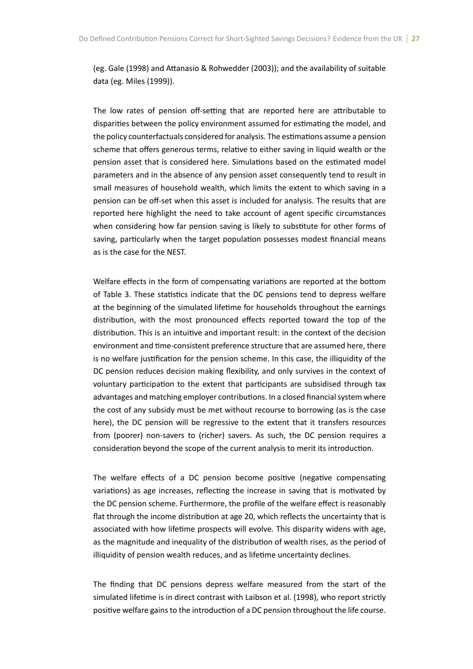(eg. Gale (1998) and AƩanasio & Rohwedder (2003)); and the availability of suitable data (eg. Miles (1999)).

The low rates of pension off-setting that are reported here are attributable to disparities between the policy environment assumed for estimating the model, and the policy counterfactuals considered for analysis. The estimations assume a pension scheme that offers generous terms, relative to either saving in liquid wealth or the pension asset that is considered here. Simulations based on the estimated model parameters and in the absence of any pension asset consequently tend to result in small measures of household wealth, which limits the extent to which saving in a pension can be off-set when this asset is included for analysis. The results that are reported here highlight the need to take account of agent specific circumstances when considering how far pension saving is likely to substitute for other forms of saving, particularly when the target population possesses modest financial means as is the case for the NEST.

Welfare effects in the form of compensating variations are reported at the bottom of Table 3. These statistics indicate that the DC pensions tend to depress welfare at the beginning of the simulated lifetime for households throughout the earnings distribution, with the most pronounced effects reported toward the top of the distribution. This is an intuitive and important result: in the context of the decision environment and time-consistent preference structure that are assumed here, there is no welfare justification for the pension scheme. In this case, the illiquidity of the DC pension reduces decision making flexibility, and only survives in the context of voluntary participation to the extent that participants are subsidised through tax advantages and matching employer contributions. In a closed financial system where the cost of any subsidy must be met without recourse to borrowing (as is the case here), the DC pension will be regressive to the extent that it transfers resources from (poorer) non-savers to (richer) savers. As such, the DC pension requires a consideration beyond the scope of the current analysis to merit its introduction.

The welfare effects of a DC pension become positive (negative compensating variations) as age increases, reflecting the increase in saving that is motivated by the DC pension scheme. Furthermore, the profile of the welfare effect is reasonably flat through the income distribution at age 20, which reflects the uncertainty that is associated with how lifetime prospects will evolve. This disparity widens with age, as the magnitude and inequality of the distribution of wealth rises, as the period of illiquidity of pension wealth reduces, and as lifetime uncertainty declines.

The finding that DC pensions depress welfare measured from the start of the simulated lifetime is in direct contrast with Laibson et al. (1998), who report strictly positive welfare gains to the introduction of a DC pension throughout the life course.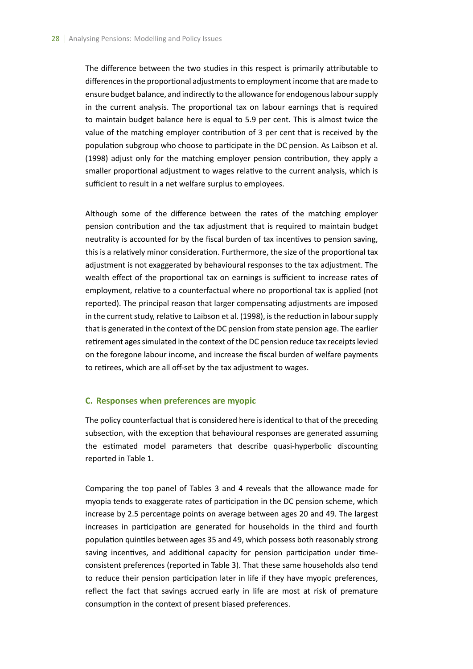The difference between the two studies in this respect is primarily attributable to differences in the proportional adjustments to employment income that are made to ensure budget balance, and indirectly to the allowance for endogenous labour supply in the current analysis. The proportional tax on labour earnings that is required to maintain budget balance here is equal to 5.9 per cent. This is almost twice the value of the matching employer contribution of 3 per cent that is received by the population subgroup who choose to participate in the DC pension. As Laibson et al. (1998) adjust only for the matching employer pension contribution, they apply a smaller proportional adjustment to wages relative to the current analysis, which is sufficient to result in a net welfare surplus to employees.

Although some of the difference between the rates of the matching employer pension contribution and the tax adjustment that is required to maintain budget neutrality is accounted for by the fiscal burden of tax incentives to pension saving, this is a relatively minor consideration. Furthermore, the size of the proportional tax adjustment is not exaggerated by behavioural responses to the tax adjustment. The wealth effect of the proportional tax on earnings is sufficient to increase rates of employment, relative to a counterfactual where no proportional tax is applied (not reported). The principal reason that larger compensating adjustments are imposed in the current study, relative to Laibson et al. (1998), is the reduction in labour supply that is generated in the context of the DC pension from state pension age. The earlier retirement ages simulated in the context of the DC pension reduce tax receipts levied on the foregone labour income, and increase the fiscal burden of welfare payments to retirees, which are all off-set by the tax adjustment to wages.

#### **C. Responses when preferences are myopic**

The policy counterfactual that is considered here is identical to that of the preceding subsection, with the exception that behavioural responses are generated assuming the estimated model parameters that describe quasi-hyperbolic discounting reported in Table 1.

Comparing the top panel of Tables 3 and 4 reveals that the allowance made for myopia tends to exaggerate rates of participation in the DC pension scheme, which increase by 2.5 percentage points on average between ages 20 and 49. The largest increases in participation are generated for households in the third and fourth population quintiles between ages 35 and 49, which possess both reasonably strong saving incentives, and additional capacity for pension participation under timeconsistent preferences (reported in Table 3). That these same households also tend to reduce their pension participation later in life if they have myopic preferences, reflect the fact that savings accrued early in life are most at risk of premature consumption in the context of present biased preferences.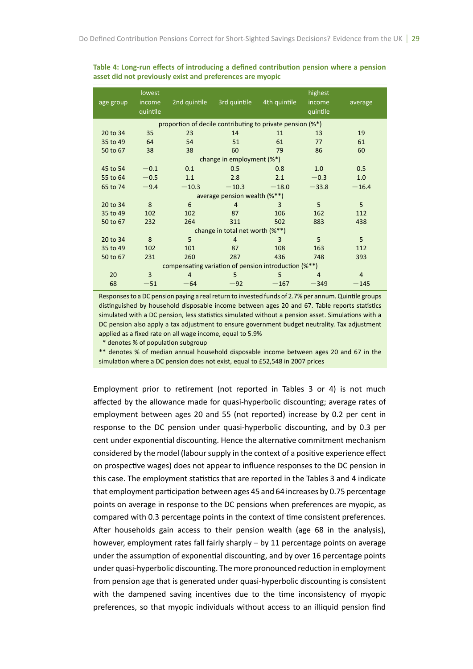| age group | lowest<br>income<br>quintile | 2nd quintile                                              | 3rd quintile                    | 4th quintile | highest<br>income<br>quintile | average        |
|-----------|------------------------------|-----------------------------------------------------------|---------------------------------|--------------|-------------------------------|----------------|
|           |                              | proportion of decile contributing to private pension (%*) |                                 |              |                               |                |
| 20 to 34  | 35                           | 23                                                        | 14                              | 11           | 13                            | 19             |
| 35 to 49  | 64                           | 54                                                        | 51                              | 61           | 77                            | 61             |
| 50 to 67  | 38                           | 38                                                        | 60                              | 79           | 86                            | 60             |
|           |                              |                                                           | change in employment (%*)       |              |                               |                |
| 45 to 54  | $-0.1$                       | 0.1                                                       | 0.5                             | 0.8          | 1.0                           | 0.5            |
| 55 to 64  | $-0.5$                       | 1.1                                                       | 2.8                             | 2.1          | $-0.3$                        | 1.0            |
| 65 to 74  | $-9.4$                       | $-10.3$                                                   | $-10.3$                         | $-18.0$      | $-33.8$                       | $-16.4$        |
|           |                              |                                                           | average pension wealth (%**)    |              |                               |                |
| 20 to 34  | 8                            | 6                                                         | $\overline{4}$                  | 3            | 5                             | 5              |
| 35 to 49  | 102                          | 102                                                       | 87                              | 106          | 162                           | 112            |
| 50 to 67  | 232                          | 264                                                       | 311                             | 502          | 883                           | 438            |
|           |                              |                                                           | change in total net worth (%**) |              |                               |                |
| 20 to 34  | 8                            | 5                                                         | $\overline{4}$                  | 3            | 5                             | 5              |
| 35 to 49  | 102                          | 101                                                       | 87                              | 108          | 163                           | 112            |
| 50 to 67  | 231                          | 260                                                       | 287                             | 436          | 748                           | 393            |
|           |                              | compensating variation of pension introduction (%**)      |                                 |              |                               |                |
| 20        | $\overline{3}$               | $\overline{4}$                                            | 5                               | 5            | $\overline{4}$                | $\overline{4}$ |
| 68        | $-51$                        | $-64$                                                     | $-92$                           | $-167$       | $-349$                        | $-145$         |

**Table 4: Long-run effects of introducing a defined contribution pension where a pension asset did not previously exist and preferences are myopic**

Responses to a DC pension paying a real return to invested funds of 2.7% per annum. Quintile groups distinguished by household disposable income between ages 20 and 67. Table reports statistics simulated with a DC pension, less statistics simulated without a pension asset. Simulations with a DC pension also apply a tax adjustment to ensure government budget neutrality. Tax adjustment applied as a fixed rate on all wage income, equal to 5.9%

\* denotes % of population subgroup

\*\* denotes % of median annual household disposable income between ages 20 and 67 in the simulation where a DC pension does not exist, equal to £52,548 in 2007 prices

Employment prior to retirement (not reported in Tables 3 or 4) is not much affected by the allowance made for quasi-hyperbolic discounting; average rates of employment between ages 20 and 55 (not reported) increase by 0.2 per cent in response to the DC pension under quasi-hyperbolic discounting, and by 0.3 per cent under exponential discounting. Hence the alternative commitment mechanism considered by the model (labour supply in the context of a positive experience effect on prospective wages) does not appear to influence responses to the DC pension in this case. The employment statistics that are reported in the Tables 3 and 4 indicate that employment participation between ages 45 and 64 increases by 0.75 percentage points on average in response to the DC pensions when preferences are myopic, as compared with 0.3 percentage points in the context of time consistent preferences. After households gain access to their pension wealth (age 68 in the analysis), however, employment rates fall fairly sharply – by 11 percentage points on average under the assumption of exponential discounting, and by over 16 percentage points under quasi-hyperbolic discounting. The more pronounced reduction in employment from pension age that is generated under quasi-hyperbolic discounting is consistent with the dampened saving incentives due to the time inconsistency of myopic preferences, so that myopic individuals without access to an illiquid pension find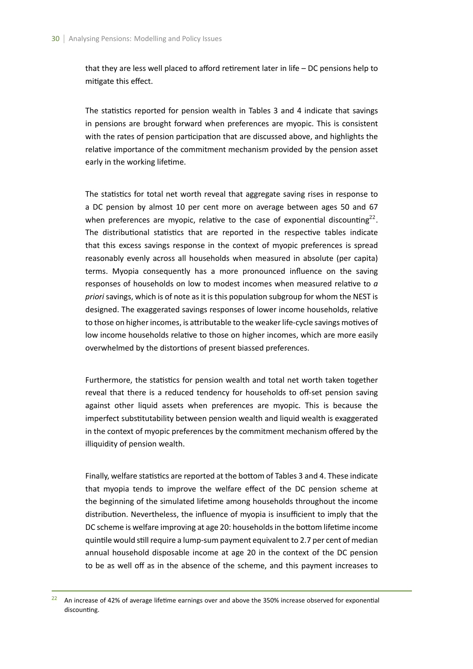that they are less well placed to afford retirement later in life  $-$  DC pensions help to mitigate this effect.

The statistics reported for pension wealth in Tables 3 and 4 indicate that savings in pensions are brought forward when preferences are myopic. This is consistent with the rates of pension participation that are discussed above, and highlights the relative importance of the commitment mechanism provided by the pension asset early in the working lifetime.

The statistics for total net worth reveal that aggregate saving rises in response to a DC pension by almost 10 per cent more on average between ages 50 and 67 when preferences are myopic, relative to the case of exponential discounting<sup>22</sup>. The distributional statistics that are reported in the respective tables indicate that this excess savings response in the context of myopic preferences is spread reasonably evenly across all households when measured in absolute (per capita) terms. Myopia consequently has a more pronounced influence on the saving responses of households on low to modest incomes when measured relative to  $a$ *priori* savings, which is of note as it is this population subgroup for whom the NEST is designed. The exaggerated savings responses of lower income households, relative to those on higher incomes, is attributable to the weaker life-cycle savings motives of low income households relative to those on higher incomes, which are more easily overwhelmed by the distortions of present biassed preferences.

Furthermore, the statistics for pension wealth and total net worth taken together reveal that there is a reduced tendency for households to off-set pension saving against other liquid assets when preferences are myopic. This is because the imperfect substitutability between pension wealth and liquid wealth is exaggerated in the context of myopic preferences by the commitment mechanism offered by the illiquidity of pension wealth.

Finally, welfare statistics are reported at the bottom of Tables 3 and 4. These indicate that myopia tends to improve the welfare effect of the DC pension scheme at the beginning of the simulated lifetime among households throughout the income distribution. Nevertheless, the influence of myopia is insufficient to imply that the DC scheme is welfare improving at age 20: households in the bottom lifetime income quintile would still require a lump-sum payment equivalent to 2.7 per cent of median annual household disposable income at age 20 in the context of the DC pension to be as well off as in the absence of the scheme, and this payment increases to

<sup>&</sup>lt;sup>22</sup> An increase of 42% of average lifetime earnings over and above the 350% increase observed for exponential discounting.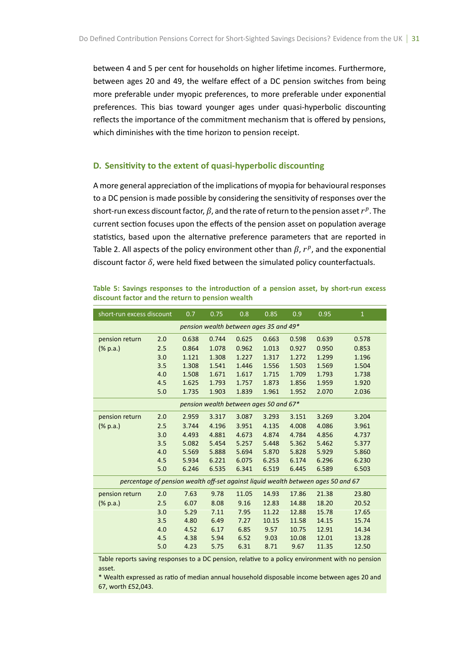between 4 and 5 per cent for households on higher lifetime incomes. Furthermore, between ages 20 and 49, the welfare effect of a DC pension switches from being more preferable under myopic preferences, to more preferable under exponential preferences. This bias toward younger ages under quasi-hyperbolic discounting reflects the importance of the commitment mechanism that is offered by pensions, which diminishes with the time horizon to pension receipt.

# **D. Sensitivity to the extent of quasi-hyperbolic discounting**

A more general appreciation of the implications of myopia for behavioural responses to a DC pension is made possible by considering the sensitivity of responses over the short-run excess discount factor,  $\beta$ , and the rate of return to the pension asset  $r^p$ . The current section focuses upon the effects of the pension asset on population average statistics, based upon the alternative preference parameters that are reported in Table 2. All aspects of the policy environment other than  $\beta$ ,  $r^p$ , and the exponential discount factor *δ*, were held fixed between the simulated policy counterfactuals.

|  |                                                  |  |  |  |  | Table 5: Savings responses to the introduction of a pension asset, by short-run excess |  |
|--|--------------------------------------------------|--|--|--|--|----------------------------------------------------------------------------------------|--|
|  | discount factor and the return to pension wealth |  |  |  |  |                                                                                        |  |

| short-run excess discount                                                                        |     | 0.7   | 0.75                                   | 0.8   | 0.85  | 0.9   | 0.95                                                                              | $\mathbf{1}$ |
|--------------------------------------------------------------------------------------------------|-----|-------|----------------------------------------|-------|-------|-------|-----------------------------------------------------------------------------------|--------------|
|                                                                                                  |     |       | pension wealth between ages 35 and 49* |       |       |       |                                                                                   |              |
| pension return                                                                                   | 2.0 | 0.638 | 0.744                                  | 0.625 | 0.663 | 0.598 | 0.639                                                                             | 0.578        |
| (% p.a.)                                                                                         | 2.5 | 0.864 | 1.078                                  | 0.962 | 1.013 | 0.927 | 0.950                                                                             | 0.853        |
|                                                                                                  | 3.0 | 1.121 | 1.308                                  | 1.227 | 1.317 | 1.272 | 1.299                                                                             | 1.196        |
|                                                                                                  | 3.5 | 1.308 | 1.541                                  | 1.446 | 1.556 | 1.503 | 1.569                                                                             | 1.504        |
|                                                                                                  | 4.0 | 1.508 | 1.671                                  | 1.617 | 1.715 | 1.709 | 1.793                                                                             | 1.738        |
|                                                                                                  | 4.5 | 1.625 | 1.793                                  | 1.757 | 1.873 | 1.856 | 1.959                                                                             | 1.920        |
|                                                                                                  | 5.0 | 1.735 | 1.903                                  | 1.839 | 1.961 | 1.952 | 2.070                                                                             | 2.036        |
|                                                                                                  |     |       | pension wealth between ages 50 and 67* |       |       |       |                                                                                   |              |
| pension return                                                                                   | 2.0 | 2.959 | 3.317                                  | 3.087 | 3.293 | 3.151 | 3.269                                                                             | 3.204        |
| $(% \mathbb{R}^2)$ (% p.a.)                                                                      | 2.5 | 3.744 | 4.196                                  | 3.951 | 4.135 | 4.008 | 4.086                                                                             | 3.961        |
|                                                                                                  | 3.0 | 4.493 | 4.881                                  | 4.673 | 4.874 | 4.784 | 4.856                                                                             | 4.737        |
|                                                                                                  | 3.5 | 5.082 | 5.454                                  | 5.257 | 5.448 | 5.362 | 5.462                                                                             | 5.377        |
|                                                                                                  | 4.0 | 5.569 | 5.888                                  | 5.694 | 5.870 | 5.828 | 5.929                                                                             | 5.860        |
|                                                                                                  | 4.5 | 5.934 | 6.221                                  | 6.075 | 6.253 | 6.174 | 6.296                                                                             | 6.230        |
|                                                                                                  | 5.0 | 6.246 | 6.535                                  | 6.341 | 6.519 | 6.445 | 6.589                                                                             | 6.503        |
|                                                                                                  |     |       |                                        |       |       |       | percentage of pension wealth off-set against liquid wealth between ages 50 and 67 |              |
| pension return                                                                                   | 2.0 | 7.63  | 9.78                                   | 11.05 | 14.93 | 17.86 | 21.38                                                                             | 23.80        |
| $(% \mathbb{R}^2)$ (% p.a.)                                                                      | 2.5 | 6.07  | 8.08                                   | 9.16  | 12.83 | 14.88 | 18.20                                                                             | 20.52        |
|                                                                                                  | 3.0 | 5.29  | 7.11                                   | 7.95  | 11.22 | 12.88 | 15.78                                                                             | 17.65        |
|                                                                                                  | 3.5 | 4.80  | 6.49                                   | 7.27  | 10.15 | 11.58 | 14.15                                                                             | 15.74        |
|                                                                                                  | 4.0 | 4.52  | 6.17                                   | 6.85  | 9.57  | 10.75 | 12.91                                                                             | 14.34        |
|                                                                                                  | 4.5 | 4.38  | 5.94                                   | 6.52  | 9.03  | 10.08 | 12.01                                                                             | 13.28        |
|                                                                                                  | 5.0 | 4.23  | 5.75                                   | 6.31  | 8.71  | 9.67  | 11.35                                                                             | 12.50        |
| Table reports saving responses to a DC pension, relative to a policy environment with no pension |     |       |                                        |       |       |       |                                                                                   |              |

teports saving responses to a DC pension, relative to a policy environment with no pension asset.

\* Wealth expressed as raƟo of median annual household disposable income between ages 20 and 67, worth £52,043.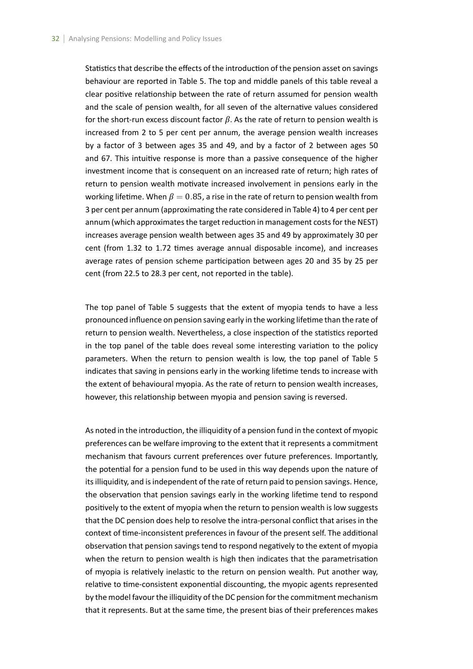Statistics that describe the effects of the introduction of the pension asset on savings behaviour are reported in Table 5. The top and middle panels of this table reveal a clear positive relationship between the rate of return assumed for pension wealth and the scale of pension wealth, for all seven of the alternative values considered for the short-run excess discount factor *β*. As the rate of return to pension wealth is increased from 2 to 5 per cent per annum, the average pension wealth increases by a factor of 3 between ages 35 and 49, and by a factor of 2 between ages 50 and 67. This intuitive response is more than a passive consequence of the higher investment income that is consequent on an increased rate of return; high rates of return to pension wealth motivate increased involvement in pensions early in the working lifetime. When  $\beta = 0.85$ , a rise in the rate of return to pension wealth from 3 per cent per annum (approximating the rate considered in Table 4) to 4 per cent per annum (which approximates the target reduction in management costs for the NEST) increases average pension wealth between ages 35 and 49 by approximately 30 per cent (from 1.32 to 1.72 times average annual disposable income), and increases average rates of pension scheme participation between ages 20 and 35 by 25 per cent (from 22.5 to 28.3 per cent, not reported in the table).

The top panel of Table 5 suggests that the extent of myopia tends to have a less pronounced influence on pension saving early in the working lifetime than the rate of return to pension wealth. Nevertheless, a close inspection of the statistics reported in the top panel of the table does reveal some interesting variation to the policy parameters. When the return to pension wealth is low, the top panel of Table 5 indicates that saving in pensions early in the working lifetime tends to increase with the extent of behavioural myopia. As the rate of return to pension wealth increases, however, this relationship between myopia and pension saving is reversed.

As noted in the introduction, the illiquidity of a pension fund in the context of myopic preferences can be welfare improving to the extent that it represents a commitment mechanism that favours current preferences over future preferences. Importantly, the potential for a pension fund to be used in this way depends upon the nature of its illiquidity, and is independent of the rate of return paid to pension savings. Hence, the observation that pension savings early in the working lifetime tend to respond positively to the extent of myopia when the return to pension wealth is low suggests that the DC pension does help to resolve the intra-personal conflict that arises in the context of time-inconsistent preferences in favour of the present self. The additional observation that pension savings tend to respond negatively to the extent of myopia when the return to pension wealth is high then indicates that the parametrisation of myopia is relatively inelastic to the return on pension wealth. Put another way, relative to time-consistent exponential discounting, the myopic agents represented by the model favour the illiquidity of the DC pension for the commitment mechanism that it represents. But at the same time, the present bias of their preferences makes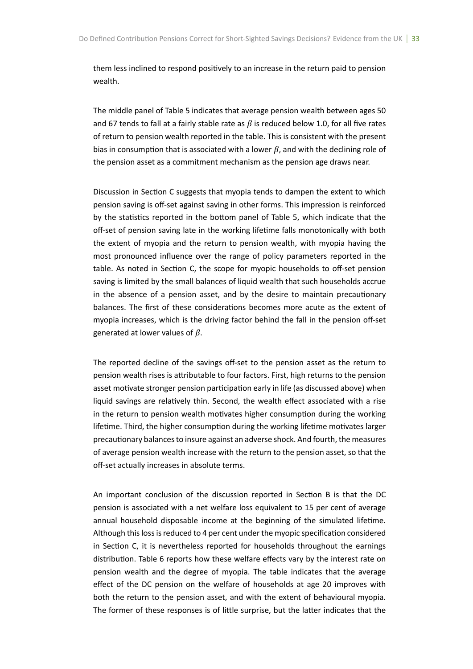them less inclined to respond positively to an increase in the return paid to pension wealth.

The middle panel of Table 5 indicates that average pension wealth between ages 50 and 67 tends to fall at a fairly stable rate as *β* is reduced below 1.0, for all five rates of return to pension wealth reported in the table. This is consistent with the present bias in consumption that is associated with a lower  $\beta$ , and with the declining role of the pension asset as a commitment mechanism as the pension age draws near.

Discussion in Section C suggests that myopia tends to dampen the extent to which pension saving is off-set against saving in other forms. This impression is reinforced by the statistics reported in the bottom panel of Table 5, which indicate that the off-set of pension saving late in the working lifetime falls monotonically with both the extent of myopia and the return to pension wealth, with myopia having the most pronounced influence over the range of policy parameters reported in the table. As noted in Section C, the scope for myopic households to off-set pension saving is limited by the small balances of liquid wealth that such households accrue in the absence of a pension asset, and by the desire to maintain precautionary balances. The first of these considerations becomes more acute as the extent of myopia increases, which is the driving factor behind the fall in the pension off-set generated at lower values of *β*.

The reported decline of the savings off-set to the pension asset as the return to pension wealth rises is attributable to four factors. First, high returns to the pension asset motivate stronger pension participation early in life (as discussed above) when liquid savings are relatively thin. Second, the wealth effect associated with a rise in the return to pension wealth motivates higher consumption during the working lifetime. Third, the higher consumption during the working lifetime motivates larger precauƟonary balances to insure against an adverse shock. And fourth, the measures of average pension wealth increase with the return to the pension asset, so that the off-set actually increases in absolute terms.

An important conclusion of the discussion reported in Section B is that the DC pension is associated with a net welfare loss equivalent to 15 per cent of average annual household disposable income at the beginning of the simulated lifetime. Although this loss is reduced to 4 per cent under the myopic specification considered in Section C, it is nevertheless reported for households throughout the earnings distribution. Table 6 reports how these welfare effects vary by the interest rate on pension wealth and the degree of myopia. The table indicates that the average effect of the DC pension on the welfare of households at age 20 improves with both the return to the pension asset, and with the extent of behavioural myopia. The former of these responses is of little surprise, but the latter indicates that the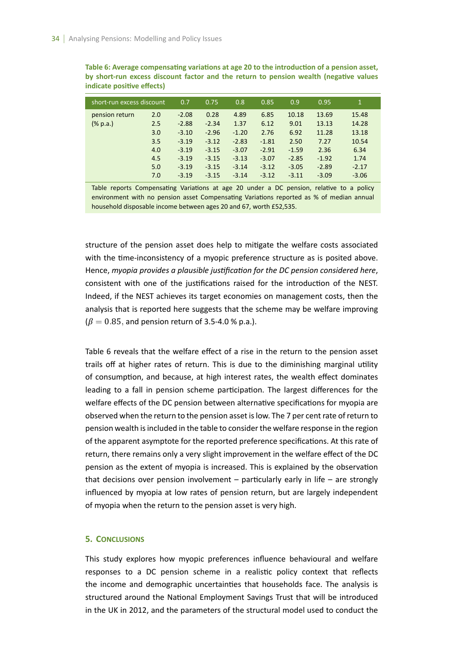| short-run excess discount |     | 0.7     | 0.75    | 0.8     | 0.85    | 0.9     | 0.95    | $\mathbf{1}$ |
|---------------------------|-----|---------|---------|---------|---------|---------|---------|--------------|
| pension return            | 2.0 | $-2.08$ | 0.28    | 4.89    | 6.85    | 10.18   | 13.69   | 15.48        |
| $(% \mathbf{a})$ (% p.a.) | 2.5 | $-2.88$ | $-2.34$ | 1.37    | 6.12    | 9.01    | 13.13   | 14.28        |
|                           | 3.0 | $-3.10$ | $-2.96$ | $-1.20$ | 2.76    | 6.92    | 11.28   | 13.18        |
|                           | 3.5 | $-3.19$ | $-3.12$ | $-2.83$ | $-1.81$ | 2.50    | 7.27    | 10.54        |
|                           | 4.0 | $-3.19$ | $-3.15$ | $-3.07$ | $-2.91$ | $-1.59$ | 2.36    | 6.34         |
|                           | 4.5 | $-3.19$ | $-3.15$ | $-3.13$ | $-3.07$ | $-2.85$ | $-1.92$ | 1.74         |
|                           | 5.0 | $-3.19$ | $-3.15$ | $-3.14$ | $-3.12$ | $-3.05$ | $-2.89$ | $-2.17$      |
|                           | 7.0 | $-3.19$ | $-3.15$ | $-3.14$ | $-3.12$ | $-3.11$ | $-3.09$ | $-3.06$      |

Table 6: Average compensating variations at age 20 to the introduction of a pension asset. by short-run excess discount factor and the return to pension wealth (negative values **indicate posiƟve effects)**

Table reports Compensating Variations at age 20 under a DC pension, relative to a policy environment with no pension asset Compensating Variations reported as % of median annual household disposable income between ages 20 and 67, worth £52,535.

structure of the pension asset does help to mitigate the welfare costs associated with the time-inconsistency of a myopic preference structure as is posited above. Hence, *myopia provides a plausible justification for the DC pension considered here*, consistent with one of the justifications raised for the introduction of the NEST. Indeed, if the NEST achieves its target economies on management costs, then the analysis that is reported here suggests that the scheme may be welfare improving (*β* = 0*.*85*,* and pension return of 3.5-4.0 % p.a.).

Table 6 reveals that the welfare effect of a rise in the return to the pension asset trails off at higher rates of return. This is due to the diminishing marginal utility of consumption, and because, at high interest rates, the wealth effect dominates leading to a fall in pension scheme participation. The largest differences for the welfare effects of the DC pension between alternative specifications for myopia are observed when the return to the pension asset is low. The 7 per cent rate of return to pension wealth is included in the table to consider the welfare response in the region of the apparent asymptote for the reported preference specifications. At this rate of return, there remains only a very slight improvement in the welfare effect of the DC pension as the extent of myopia is increased. This is explained by the observation that decisions over pension involvement  $-$  particularly early in life  $-$  are strongly influenced by myopia at low rates of pension return, but are largely independent of myopia when the return to the pension asset is very high.

#### **5. CONCLUSIONS**

This study explores how myopic preferences influence behavioural and welfare responses to a DC pension scheme in a realistic policy context that reflects the income and demographic uncertainties that households face. The analysis is structured around the National Employment Savings Trust that will be introduced in the UK in 2012, and the parameters of the structural model used to conduct the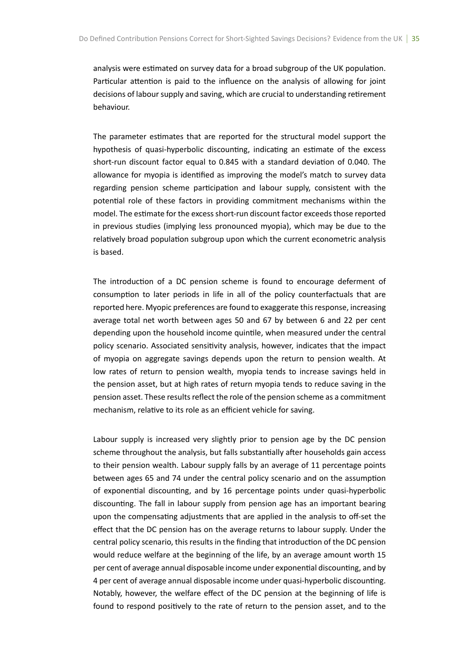analysis were estimated on survey data for a broad subgroup of the UK population. Particular attention is paid to the influence on the analysis of allowing for joint decisions of labour supply and saving, which are crucial to understanding retirement behaviour.

The parameter estimates that are reported for the structural model support the hypothesis of quasi-hyperbolic discounting, indicating an estimate of the excess short-run discount factor equal to 0.845 with a standard deviation of 0.040. The allowance for myopia is identified as improving the model's match to survey data regarding pension scheme participation and labour supply, consistent with the potential role of these factors in providing commitment mechanisms within the model. The estimate for the excess short-run discount factor exceeds those reported in previous studies (implying less pronounced myopia), which may be due to the relatively broad population subgroup upon which the current econometric analysis is based.

The introduction of a DC pension scheme is found to encourage deferment of consumption to later periods in life in all of the policy counterfactuals that are reported here. Myopic preferences are found to exaggerate this response, increasing average total net worth between ages 50 and 67 by between 6 and 22 per cent depending upon the household income quintile, when measured under the central policy scenario. Associated sensitivity analysis, however, indicates that the impact of myopia on aggregate savings depends upon the return to pension wealth. At low rates of return to pension wealth, myopia tends to increase savings held in the pension asset, but at high rates of return myopia tends to reduce saving in the pension asset. These results reflect the role of the pension scheme as a commitment mechanism, relative to its role as an efficient vehicle for saving.

Labour supply is increased very slightly prior to pension age by the DC pension scheme throughout the analysis, but falls substantially after households gain access to their pension wealth. Labour supply falls by an average of 11 percentage points between ages 65 and 74 under the central policy scenario and on the assumption of exponential discounting, and by 16 percentage points under quasi-hyperbolic discounting. The fall in labour supply from pension age has an important bearing upon the compensating adjustments that are applied in the analysis to off-set the effect that the DC pension has on the average returns to labour supply. Under the central policy scenario, this results in the finding that introduction of the DC pension would reduce welfare at the beginning of the life, by an average amount worth 15 per cent of average annual disposable income under exponential discounting, and by 4 per cent of average annual disposable income under quasi-hyperbolic discounting. Notably, however, the welfare effect of the DC pension at the beginning of life is found to respond positively to the rate of return to the pension asset, and to the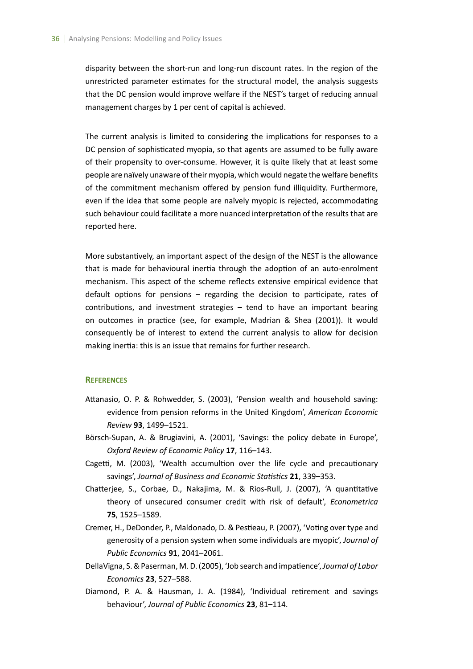disparity between the short-run and long-run discount rates. In the region of the unrestricted parameter estimates for the structural model, the analysis suggests that the DC pension would improve welfare if the NEST's target of reducing annual management charges by 1 per cent of capital is achieved.

The current analysis is limited to considering the implications for responses to a DC pension of sophisticated myopia, so that agents are assumed to be fully aware of their propensity to over-consume. However, it is quite likely that at least some people are naïvely unaware of their myopia, which would negate the welfare benefits of the commitment mechanism offered by pension fund illiquidity. Furthermore, even if the idea that some people are naïvely myopic is rejected, accommodating such behaviour could facilitate a more nuanced interpretation of the results that are reported here.

More substantively, an important aspect of the design of the NEST is the allowance that is made for behavioural inertia through the adoption of an auto-enrolment mechanism. This aspect of the scheme reflects extensive empirical evidence that default options for pensions  $-$  regarding the decision to participate, rates of contributions, and investment strategies  $-$  tend to have an important bearing on outcomes in practice (see, for example, Madrian & Shea (2001)). It would consequently be of interest to extend the current analysis to allow for decision making inertia: this is an issue that remains for further research.

#### **REFERENCES**

- Attanasio, O. P. & Rohwedder, S. (2003), 'Pension wealth and household saving: evidence from pension reforms in the United Kingdom', *American Economic Review* **93**, 1499–1521.
- Börsch-Supan, A. & Brugiavini, A. (2001), 'Savings: the policy debate in Europe', *Oxford Review of Economic Policy* **17**, 116–143.
- Cagetti, M. (2003), 'Wealth accumultion over the life cycle and precautionary savings', Journal of Business and Economic Statistics 21, 339-353.
- Chatterjee, S., Corbae, D., Nakajima, M. & Rios-Rull, J. (2007), 'A quantitative theory of unsecured consumer credit with risk of default', *Econometrica* **75**, 1525–1589.
- Cremer, H., DeDonder, P., Maldonado, D. & Pestieau, P. (2007), 'Voting over type and generosity of a pension system when some individuals are myopic', *Journal of Public Economics* **91**, 2041–2061.
- DellaVigna, S. & Paserman, M. D. (2005), 'Job search and impatience', Journal of Labor *Economics* **23**, 527–588.
- Diamond, P. A. & Hausman, J. A. (1984), 'Individual retirement and savings behaviour', *Journal of Public Economics* **23**, 81–114.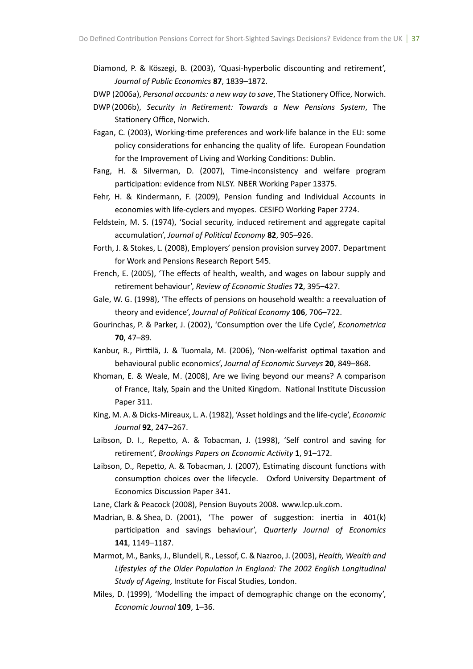Diamond, P. & Köszegi, B. (2003), 'Quasi-hyperbolic discounting and retirement', *Journal of Public Economics* **87**, 1839–1872.

DWP (2006a), *Personal accounts: a new way to save*, The Stationery Office, Norwich.

- DWP (2006b), *Security in ReƟrement: Towards a New Pensions System*, The Stationery Office, Norwich.
- Fagan, C. (2003), Working-time preferences and work-life balance in the EU: some policy considerations for enhancing the quality of life. European Foundation for the Improvement of Living and Working Conditions: Dublin.
- Fang, H. & Silverman, D. (2007), Time-inconsistency and welfare program participation: evidence from NLSY. NBER Working Paper 13375.
- Fehr, H. & Kindermann, F. (2009), Pension funding and Individual Accounts in economies with life-cyclers and myopes. CESIFO Working Paper 2724.
- Feldstein, M. S. (1974), 'Social security, induced retirement and aggregate capital accumulaƟon', *Journal of PoliƟcal Economy* **82**, 905–926.
- Forth, J. & Stokes, L. (2008), Employers' pension provision survey 2007. Department for Work and Pensions Research Report 545.
- French, E. (2005), 'The effects of health, wealth, and wages on labour supply and retirement behaviour', Review of Economic Studies 72, 395-427.
- Gale, W. G. (1998), 'The effects of pensions on household wealth: a reevaluation of theory and evidence', *Journal of Political Economy* 106, 706-722.
- Gourinchas, P. & Parker, J. (2002), 'Consumption over the Life Cycle', *Econometrica* **70**, 47–89.
- Kanbur, R., Pirttilä, J. & Tuomala, M. (2006), 'Non-welfarist optimal taxation and behavioural public economics', *Journal of Economic Surveys* **20**, 849–868.
- Khoman, E. & Weale, M. (2008), Are we living beyond our means? A comparison of France, Italy, Spain and the United Kingdom. National Institute Discussion Paper 311.
- King, M. A. & Dicks-Mireaux, L. A. (1982), 'Asset holdings and the life-cycle', *Economic Journal* **92**, 247–267.
- Laibson, D. I., Repetto, A. & Tobacman, J. (1998), 'Self control and saving for retirement', *Brookings Papers on Economic Activity* 1, 91-172.
- Laibson, D., Repetto, A. & Tobacman, J. (2007), Estimating discount functions with consumption choices over the lifecycle. Oxford University Department of Economics Discussion Paper 341.
- Lane, Clark & Peacock (2008), Pension Buyouts 2008. www.lcp.uk.com.
- Madrian, B. & Shea, D. (2001), 'The power of suggestion: inertia in 401(k) participation and savings behaviour', *Quarterly Journal of Economics* **141**, 1149–1187.
- Marmot, M., Banks, J., Blundell, R., Lessof, C. & Nazroo, J. (2003), *Health, Wealth and* Lifestyles of the Older Population in England: The 2002 English Longitudinal *Study of Ageing*, Institute for Fiscal Studies, London.
- Miles, D. (1999), 'Modelling the impact of demographic change on the economy', *Economic Journal* **109**, 1–36.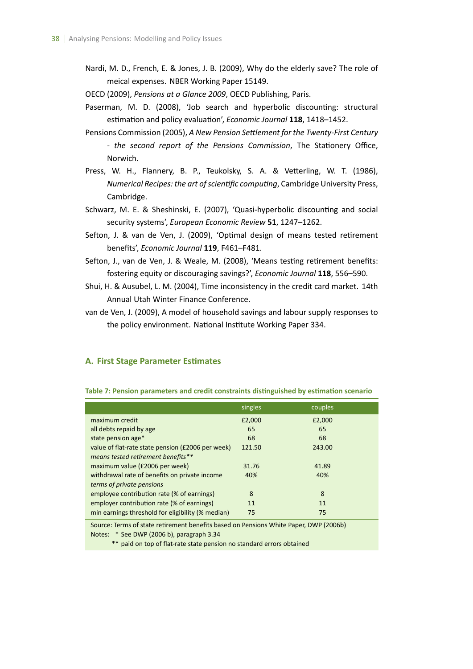Nardi, M. D., French, E. & Jones, J. B. (2009), Why do the elderly save? The role of meical expenses. NBER Working Paper 15149.

OECD (2009), *Pensions at a Glance 2009*, OECD Publishing, Paris.

- Paserman, M. D. (2008), 'Job search and hyperbolic discounting: structural estimation and policy evaluation', *Economic Journal* 118, 1418–1452.
- Pensions Commission (2005), *A New Pension Settlement for the Twenty-First Century - the second report of the Pensions Commission*, The StaƟonery Office, Norwich.
- Press, W. H., Flannery, B. P., Teukolsky, S. A. & Vetterling, W. T. (1986), *Numerical Recipes: the art of scientific computing, Cambridge University Press,* Cambridge.
- Schwarz, M. E. & Sheshinski, E. (2007), 'Quasi-hyperbolic discounting and social security systems', *European Economic Review* **51**, 1247–1262.
- Sefton, J. & van de Ven, J. (2009), 'Optimal design of means tested retirement benefits', *Economic Journal* **119**, F461–F481.
- Sefton, J., van de Ven, J. & Weale, M. (2008), 'Means testing retirement benefits: fostering equity or discouraging savings?', *Economic Journal* **118**, 556–590.
- Shui, H. & Ausubel, L. M. (2004), Time inconsistency in the credit card market. 14th Annual Utah Winter Finance Conference.
- van de Ven, J. (2009), A model of household savings and labour supply responses to the policy environment. National Institute Working Paper 334.

## **A. First Stage Parameter EsƟmates**

|  |  | Table 7: Pension parameters and credit constraints distinguished by estimation scenario |  |  |
|--|--|-----------------------------------------------------------------------------------------|--|--|
|  |  |                                                                                         |  |  |

**Table 7: Pension parameters and credit constraints disƟnguished by esƟmaƟon scenario**

|                                                   | singles | couples |
|---------------------------------------------------|---------|---------|
| maximum credit                                    | £2,000  | £2,000  |
| all debts repaid by age                           | 65      | 65      |
| state pension age*                                | 68      | 68      |
| value of flat-rate state pension (£2006 per week) | 121.50  | 243.00  |
| means tested retirement benefits**                |         |         |
| maximum value (£2006 per week)                    | 31.76   | 41.89   |
| withdrawal rate of benefits on private income     | 40%     | 40%     |
| terms of private pensions                         |         |         |
| employee contribution rate (% of earnings)        | 8       | 8       |
| employer contribution rate (% of earnings)        | 11      | 11      |
| min earnings threshold for eligibility (% median) | 75      | 75      |

Source: Terms of state retirement benefits based on Pensions White Paper, DWP (2006b) Notes: \*\* See DWP (2006 b), paragraph 3.34

\*\* paid on top of flat-rate state pension no standard errors obtained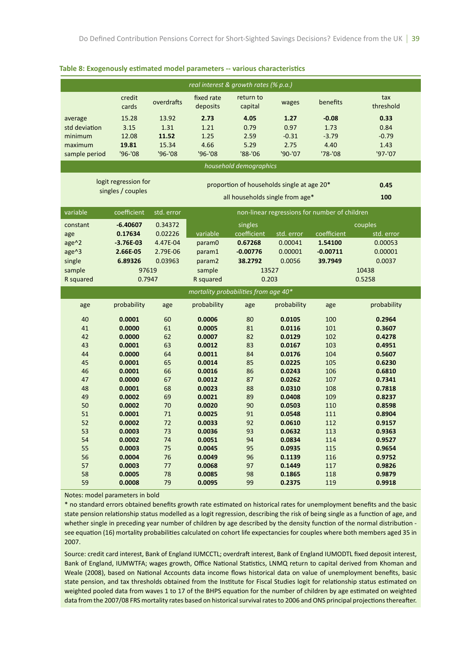|                                                                                |                                                                                |                                                       | real interest & growth rates (% p.a.)                              |                                                            |                                                                               |                                                 |                                                                          |
|--------------------------------------------------------------------------------|--------------------------------------------------------------------------------|-------------------------------------------------------|--------------------------------------------------------------------|------------------------------------------------------------|-------------------------------------------------------------------------------|-------------------------------------------------|--------------------------------------------------------------------------|
|                                                                                | credit<br>cards                                                                | overdrafts                                            | fixed rate<br>deposits                                             | return to<br>capital                                       | wages                                                                         | benefits                                        | tax<br>threshold                                                         |
| average<br>std deviation<br>minimum<br>maximum                                 | 15.28<br>3.15<br>12.08<br>19.81                                                | 13.92<br>1.31<br>11.52<br>15.34                       | 2.73<br>1.21<br>1.25<br>4.66                                       | 4.05<br>0.79<br>2.59<br>5.29                               | 1.27<br>0.97<br>$-0.31$<br>2.75                                               | $-0.08$<br>1.73<br>$-3.79$<br>4.40              | 0.33<br>0.84<br>$-0.79$<br>1.43                                          |
| sample period                                                                  | $'96 - '08$                                                                    | $'96 - '08$                                           | $'96 - '08$                                                        | $'88 - '06$                                                | $'90-'07$                                                                     | $'78-'08$                                       | $'97 - '07$                                                              |
|                                                                                |                                                                                |                                                       |                                                                    | household demographics                                     |                                                                               |                                                 |                                                                          |
|                                                                                | logit regression for<br>singles / couples                                      |                                                       |                                                                    |                                                            | proportion of households single at age 20*<br>all households single from age* |                                                 | 0.45<br>100                                                              |
| variable                                                                       | coefficient                                                                    | std. error                                            |                                                                    |                                                            | non-linear regressions for number of children                                 |                                                 |                                                                          |
| constant<br>age<br>age <sup>^2</sup><br>age^3<br>single<br>sample<br>R squared | $-6.40607$<br>0.17634<br>$-3.76E-03$<br>2.66E-05<br>6.89326<br>97619<br>0.7947 | 0.34372<br>0.02226<br>4.47E-04<br>2.79E-06<br>0.03963 | variable<br>param0<br>param1<br>param2<br>sample<br>R squared      | singles<br>coefficient<br>0.67268<br>$-0.00776$<br>38.2792 | std. error<br>0.00041<br>0.00001<br>0.0056<br>13527<br>0.203                  | coefficient<br>1.54100<br>$-0.00711$<br>39.7949 | couples<br>std. error<br>0.00053<br>0.00001<br>0.0037<br>10438<br>0.5258 |
|                                                                                |                                                                                |                                                       | mortality probabilities from age 40*                               |                                                            |                                                                               |                                                 |                                                                          |
| age                                                                            | probability                                                                    | age                                                   | probability                                                        | age                                                        | probability                                                                   | age                                             | probability                                                              |
| 40<br>41<br>42<br>43<br>44<br>45<br>46                                         | 0.0001<br>0.0000<br>0.0000<br>0.0001<br>0.0000<br>0.0001<br>0.0001             | 60<br>61<br>62<br>63<br>64<br>65<br>66                | 0.0006<br>0.0005<br>0.0007<br>0.0012<br>0.0011<br>0.0014<br>0.0016 | 80<br>81<br>82<br>83<br>84<br>85<br>86                     | 0.0105<br>0.0116<br>0.0129<br>0.0167<br>0.0176<br>0.0225<br>0.0243            | 100<br>101<br>102<br>103<br>104<br>105<br>106   | 0.2964<br>0.3607<br>0.4278<br>0.4951<br>0.5607<br>0.6230<br>0.6810       |
| 47<br>48<br>49<br>50                                                           | 0.0000<br>0.0001<br>0.0002<br>0.0002                                           | 67<br>68<br>69<br>70                                  | 0.0012<br>0.0023<br>0.0021<br>0.0020                               | 87<br>88<br>89<br>90                                       | 0.0262<br>0.0310<br>0.0408<br>0.0503                                          | 107<br>108<br>109<br>110                        | 0.7341<br>0.7818<br>0.8237<br>0.8598                                     |
| 51<br>52<br>53<br>54                                                           | 0.0001<br>0.0002<br>0.0003<br>0.0002                                           | 71<br>72<br>73<br>74                                  | 0.0025<br>0.0033<br>0.0036<br>0.0051                               | 91<br>92<br>93<br>94                                       | 0.0548<br>0.0610<br>0.0632<br>0.0834                                          | 111<br>112<br>113<br>114                        | 0.8904<br>0.9157<br>0.9363<br>0.9527                                     |
| 55<br>56<br>57<br>58<br>59                                                     | 0.0003<br>0.0004<br>0.0003<br>0.0005<br>0.0008                                 | 75<br>76<br>77<br>78<br>79                            | 0.0045<br>0.0049<br>0.0068<br>0.0085<br>0.0095                     | 95<br>96<br>97<br>98<br>99                                 | 0.0935<br>0.1139<br>0.1449<br>0.1865<br>0.2375                                | 115<br>116<br>117<br>118<br>119                 | 0.9654<br>0.9752<br>0.9826<br>0.9879<br>0.9918                           |
|                                                                                |                                                                                |                                                       |                                                                    |                                                            |                                                                               |                                                 |                                                                          |

#### Table 8: Exogenously estimated model parameters -- various characteristics

Notes: model parameters in bold

\* no standard errors obtained benefits growth rate estimated on historical rates for unemployment benefits and the basic state pension relationship status modelled as a logit regression, describing the risk of being single as a function of age, and whether single in preceding year number of children by age described by the density function of the normal distribution see equation (16) mortality probabilities calculated on cohort life expectancies for couples where both members aged 35 in 2007.

Source: credit card interest, Bank of England IUMCCTL; overdraft interest, Bank of England IUMODTL fixed deposit interest, Bank of England, IUMWTFA; wages growth, Office National Statistics, LNMQ return to capital derived from Khoman and Weale (2008), based on National Accounts data income flows historical data on value of unemployment benefits, basic state pension, and tax thresholds obtained from the Institute for Fiscal Studies logit for relationship status estimated on weighted pooled data from waves 1 to 17 of the BHPS equation for the number of children by age estimated on weighted data from the 2007/08 FRS mortality rates based on historical survival rates to 2006 and ONS principal projections thereafter.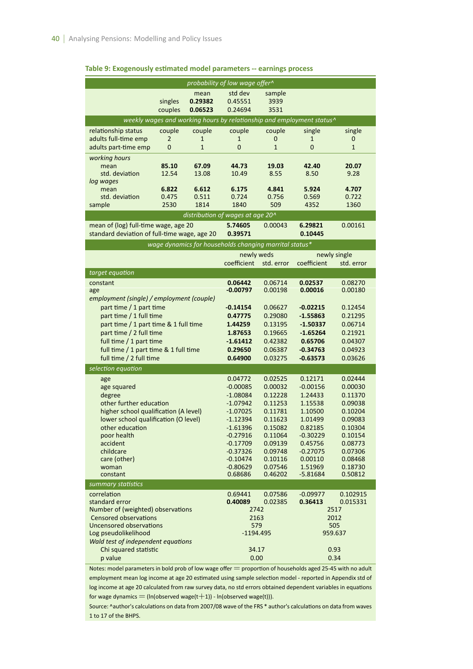#### Table 9: Exogenously estimated model parameters -- earnings process

|                                                                               |                |                | probability of low wage offer^                         |                    |                                                                       |                    |  |
|-------------------------------------------------------------------------------|----------------|----------------|--------------------------------------------------------|--------------------|-----------------------------------------------------------------------|--------------------|--|
|                                                                               |                | mean           | std dev                                                | sample             |                                                                       |                    |  |
|                                                                               | singles        | 0.29382        | 0.45551                                                | 3939               |                                                                       |                    |  |
|                                                                               | couples        | 0.06523        | 0.24694                                                | 3531               |                                                                       |                    |  |
|                                                                               |                |                |                                                        |                    | weekly wages and working hours by relationship and employment status^ |                    |  |
| relationship status                                                           | couple         | couple         | couple                                                 | couple             | single                                                                | single             |  |
| adults full-time emp                                                          | 2              | 1              | 1                                                      | 0                  | 1                                                                     | 0                  |  |
| adults part-time emp                                                          | 0              | $\mathbf{1}$   | 0                                                      | $\mathbf{1}$       | $\overline{0}$                                                        | $\mathbf{1}$       |  |
| working hours                                                                 |                |                |                                                        |                    |                                                                       |                    |  |
| mean<br>std. deviation                                                        | 85.10<br>12.54 | 67.09<br>13.08 | 44.73<br>10.49                                         | 19.03<br>8.55      | 42.40<br>8.50                                                         | 20.07<br>9.28      |  |
| log wages                                                                     |                |                |                                                        |                    |                                                                       |                    |  |
| mean                                                                          | 6.822          | 6.612          | 6.175                                                  | 4.841              | 5.924                                                                 | 4.707              |  |
| std. deviation                                                                | 0.475          | 0.511          | 0.724                                                  | 0.756              | 0.569                                                                 | 0.722              |  |
| sample                                                                        | 2530           | 1814           | 1840                                                   | 509                | 4352                                                                  | 1360               |  |
|                                                                               |                |                | distribution of wages at age 20^                       |                    |                                                                       |                    |  |
| mean of (log) full-time wage, age 20                                          |                |                | 5.74605                                                | 0.00043            | 6.29821                                                               | 0.00161            |  |
| standard deviation of full-time wage, age 20                                  |                |                | 0.39571                                                |                    | 0.10445                                                               |                    |  |
|                                                                               |                |                | wage dynamics for households changing marrital status* |                    |                                                                       |                    |  |
|                                                                               |                |                | newly weds                                             |                    |                                                                       | newly single       |  |
|                                                                               |                |                | coefficient                                            | std. error         | coefficient                                                           | std. error         |  |
| target equation                                                               |                |                |                                                        |                    |                                                                       |                    |  |
| constant                                                                      |                |                | 0.06442                                                | 0.06714            | 0.02537                                                               | 0.08270            |  |
| age                                                                           |                |                | $-0.00797$                                             | 0.00198            | 0.00016                                                               | 0.00180            |  |
| employment (single) / employment (couple)                                     |                |                |                                                        |                    |                                                                       |                    |  |
| part time / 1 part time                                                       |                |                | -0.14154                                               | 0.06627            | $-0.02215$                                                            | 0.12454            |  |
| part time / 1 full time                                                       |                |                | 0.47775<br>1.44259                                     | 0.29080<br>0.13195 | $-1.55863$<br>$-1.50337$                                              | 0.21295<br>0.06714 |  |
| part time / 1 part time & 1 full time<br>part time / 2 full time              |                |                | 1.87653                                                | 0.19665            | $-1.65264$                                                            | 0.21921            |  |
| full time / 1 part time                                                       |                |                | $-1.61412$                                             | 0.42382            | 0.65706                                                               | 0.04307            |  |
| full time / 1 part time & 1 full time                                         |                |                | 0.29650                                                | 0.06387            | $-0.34763$                                                            | 0.04923            |  |
| full time / 2 full time                                                       |                |                | 0.64900                                                | 0.03275            | $-0.63573$                                                            | 0.03626            |  |
| selection equation                                                            |                |                |                                                        |                    |                                                                       |                    |  |
| age                                                                           |                |                | 0.04772                                                | 0.02525            | 0.12171                                                               | 0.02444            |  |
| age squared                                                                   |                |                | $-0.00085$                                             | 0.00032            | $-0.00156$                                                            | 0.00030            |  |
| degree                                                                        |                |                | $-1.08084$                                             | 0.12228            | 1.24433                                                               | 0.11370            |  |
| other further education                                                       |                |                | $-1.07942$                                             | 0.11253            | 1.15538                                                               | 0.09038            |  |
| higher school qualification (A level)<br>lower school qualification (O level) |                |                | $-1.07025$                                             | 0.11781            | 1.10500                                                               | 0.10204            |  |
| other education                                                               |                |                | $-1.12394$<br>$-1.61396$                               | 0.11623<br>0.15082 | 1.01499<br>0.82185                                                    | 0.09083<br>0.10304 |  |
| poor health                                                                   |                |                | -0.27916                                               | 0.11064            | $-0.30229$                                                            | 0.10154            |  |
| accident                                                                      |                |                | $-0.17709$                                             | 0.09139            | 0.45756                                                               | 0.08773            |  |
| childcare                                                                     |                |                | $-0.37326$                                             | 0.09748            | $-0.27075$                                                            | 0.07306            |  |
| care (other)                                                                  |                |                | $-0.10474$                                             | 0.10116            | 0.00110                                                               | 0.08468            |  |
| woman<br>constant                                                             |                |                | $-0.80629$<br>0.68686                                  | 0.07546<br>0.46202 | 1.51969<br>$-5.81684$                                                 | 0.18730<br>0.50812 |  |
| summary statistics                                                            |                |                |                                                        |                    |                                                                       |                    |  |
| correlation                                                                   |                |                | 0.69441                                                | 0.07586            | $-0.09977$                                                            | 0.102915           |  |
| standard error                                                                |                |                | 0.40089                                                | 0.02385            | 0.36413                                                               | 0.015331           |  |
| Number of (weighted) observations                                             |                |                | 2742                                                   |                    |                                                                       | 2517               |  |
| Censored observations                                                         |                |                | 2163                                                   |                    |                                                                       | 2012               |  |
| Uncensored observations                                                       |                |                | 579                                                    |                    | 505                                                                   |                    |  |
| Log pseudolikelihood<br>Wald test of independent equations                    |                |                | $-1194.495$                                            |                    |                                                                       | 959.637            |  |
| Chi squared statistic                                                         |                |                | 34.17                                                  |                    |                                                                       | 0.93               |  |
| p value                                                                       |                |                | 0.00                                                   |                    |                                                                       | 0.34               |  |
|                                                                               |                |                |                                                        |                    |                                                                       |                    |  |

Notes: model parameters in bold prob of low wage offer  $=$  proportion of households aged 25-45 with no adult employment mean log income at age 20 estimated using sample selection model - reported in Appendix std of log income at age 20 calculated from raw survey data, no std errors obtained dependent variables in equations for wage dynamics  $=$  (ln(observed wage(t+1)) - ln(observed wage(t))).

Source: ^author's calculations on data from 2007/08 wave of the FRS \* author's calculations on data from waves 1 to 17 of the BHPS.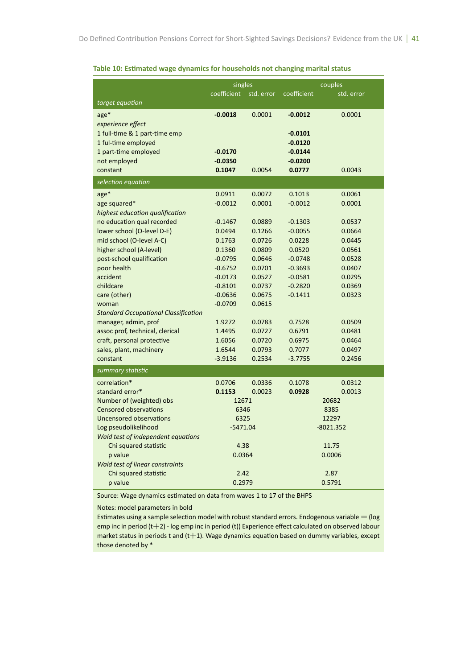|                                                      | singles                |                  |             | couples     |
|------------------------------------------------------|------------------------|------------------|-------------|-------------|
|                                                      | coefficient            | std. error       | coefficient | std. error  |
| target equation                                      |                        |                  |             |             |
| $age*$                                               | $-0.0018$              | 0.0001           | $-0.0012$   | 0.0001      |
| experience effect<br>1 full-time & 1 part-time emp   |                        |                  | $-0.0101$   |             |
| 1 ful-time employed                                  |                        |                  | $-0.0120$   |             |
| 1 part-time employed                                 | $-0.0170$              |                  | $-0.0144$   |             |
| not employed                                         | $-0.0350$              |                  | $-0.0200$   |             |
| constant                                             | 0.1047                 | 0.0054           | 0.0777      | 0.0043      |
| selection equation                                   |                        |                  |             |             |
| $age*$                                               | 0.0911                 | 0.0072           | 0.1013      | 0.0061      |
| age squared*                                         | $-0.0012$              | 0.0001           | $-0.0012$   | 0.0001      |
| highest education qualification                      |                        |                  |             |             |
| no education qual recorded                           | $-0.1467$              | 0.0889           | $-0.1303$   | 0.0537      |
| lower school (O-level D-E)                           | 0.0494                 | 0.1266           | $-0.0055$   | 0.0664      |
| mid school (O-level A-C)                             | 0.1763                 | 0.0726           | 0.0228      | 0.0445      |
| higher school (A-level)                              | 0.1360                 | 0.0809           | 0.0520      | 0.0561      |
| post-school qualification                            | $-0.0795$              | 0.0646           | $-0.0748$   | 0.0528      |
| poor health                                          | $-0.6752$              | 0.0701           | $-0.3693$   | 0.0407      |
| accident                                             | $-0.0173$              | 0.0527           | $-0.0581$   | 0.0295      |
| childcare                                            | $-0.8101$              | 0.0737           | $-0.2820$   | 0.0369      |
| care (other)                                         | $-0.0636$<br>$-0.0709$ | 0.0675<br>0.0615 | $-0.1411$   | 0.0323      |
| woman<br><b>Standard Occupational Classification</b> |                        |                  |             |             |
| manager, admin, prof                                 | 1.9272                 | 0.0783           | 0.7528      | 0.0509      |
| assoc prof, technical, clerical                      | 1.4495                 | 0.0727           | 0.6791      | 0.0481      |
| craft, personal protective                           | 1.6056                 | 0.0720           | 0.6975      | 0.0464      |
| sales, plant, machinery                              | 1.6544                 | 0.0793           | 0.7077      | 0.0497      |
| constant                                             | $-3.9136$              | 0.2534           | $-3.7755$   | 0.2456      |
| summary statistic                                    |                        |                  |             |             |
| correlation*                                         | 0.0706                 | 0.0336           | 0.1078      | 0.0312      |
| standard error*                                      | 0.1153                 | 0.0023           | 0.0928      | 0.0013      |
| Number of (weighted) obs                             | 12671                  |                  |             | 20682       |
| <b>Censored observations</b>                         | 6346                   |                  |             | 8385        |
| <b>Uncensored observations</b>                       | 6325                   |                  |             | 12297       |
| Log pseudolikelihood                                 | $-5471.04$             |                  |             | $-8021.352$ |
| Wald test of independent equations                   |                        |                  |             |             |
| Chi squared statistic                                | 4.38                   |                  |             | 11.75       |
| p value                                              | 0.0364                 |                  |             | 0.0006      |
| Wald test of linear constraints                      |                        |                  |             |             |
| Chi squared statistic                                | 2.42                   |                  |             | 2.87        |
| p value                                              | 0.2979                 |                  |             | 0.5791      |

#### Table 10: Estimated wage dynamics for households not changing marital status

Source: Wage dynamics estimated on data from waves 1 to 17 of the BHPS

Notes: model parameters in bold

Estimates using a sample selection model with robust standard errors. Endogenous variable  $=$  (log emp inc in period  $(t+2)$  - log emp inc in period (t)) Experience effect calculated on observed labour market status in periods t and  $(t+1)$ . Wage dynamics equation based on dummy variables, except those denoted by \*